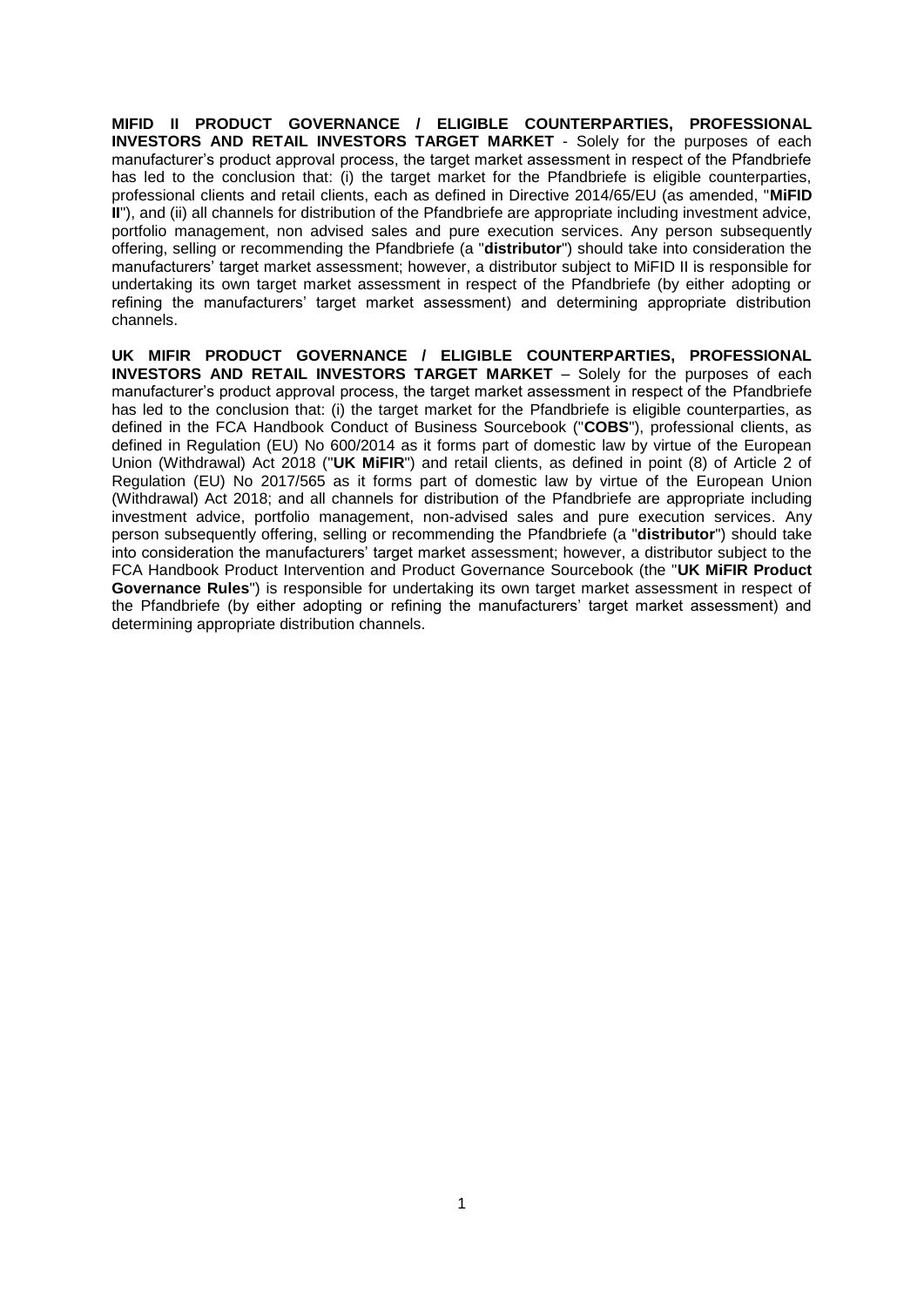**MIFID II PRODUCT GOVERNANCE / ELIGIBLE COUNTERPARTIES, PROFESSIONAL INVESTORS AND RETAIL INVESTORS TARGET MARKET** - Solely for the purposes of each manufacturer's product approval process, the target market assessment in respect of the Pfandbriefe has led to the conclusion that: (i) the target market for the Pfandbriefe is eligible counterparties, professional clients and retail clients, each as defined in Directive 2014/65/EU (as amended, "**MiFID II**"), and (ii) all channels for distribution of the Pfandbriefe are appropriate including investment advice, portfolio management, non advised sales and pure execution services. Any person subsequently offering, selling or recommending the Pfandbriefe (a "**distributor**") should take into consideration the manufacturers' target market assessment; however, a distributor subject to MiFID II is responsible for undertaking its own target market assessment in respect of the Pfandbriefe (by either adopting or refining the manufacturers' target market assessment) and determining appropriate distribution channels.

**UK MIFIR PRODUCT GOVERNANCE / ELIGIBLE COUNTERPARTIES, PROFESSIONAL INVESTORS AND RETAIL INVESTORS TARGET MARKET** – Solely for the purposes of each manufacturer's product approval process, the target market assessment in respect of the Pfandbriefe has led to the conclusion that: (i) the target market for the Pfandbriefe is eligible counterparties, as defined in the FCA Handbook Conduct of Business Sourcebook ("**COBS**"), professional clients, as defined in Regulation (EU) No 600/2014 as it forms part of domestic law by virtue of the European Union (Withdrawal) Act 2018 ("**UK MiFIR**") and retail clients, as defined in point (8) of Article 2 of Regulation (EU) No 2017/565 as it forms part of domestic law by virtue of the European Union (Withdrawal) Act 2018; and all channels for distribution of the Pfandbriefe are appropriate including investment advice, portfolio management, non-advised sales and pure execution services. Any person subsequently offering, selling or recommending the Pfandbriefe (a "**distributor**") should take into consideration the manufacturers' target market assessment; however, a distributor subject to the FCA Handbook Product Intervention and Product Governance Sourcebook (the "**UK MiFIR Product Governance Rules**") is responsible for undertaking its own target market assessment in respect of the Pfandbriefe (by either adopting or refining the manufacturers' target market assessment) and determining appropriate distribution channels.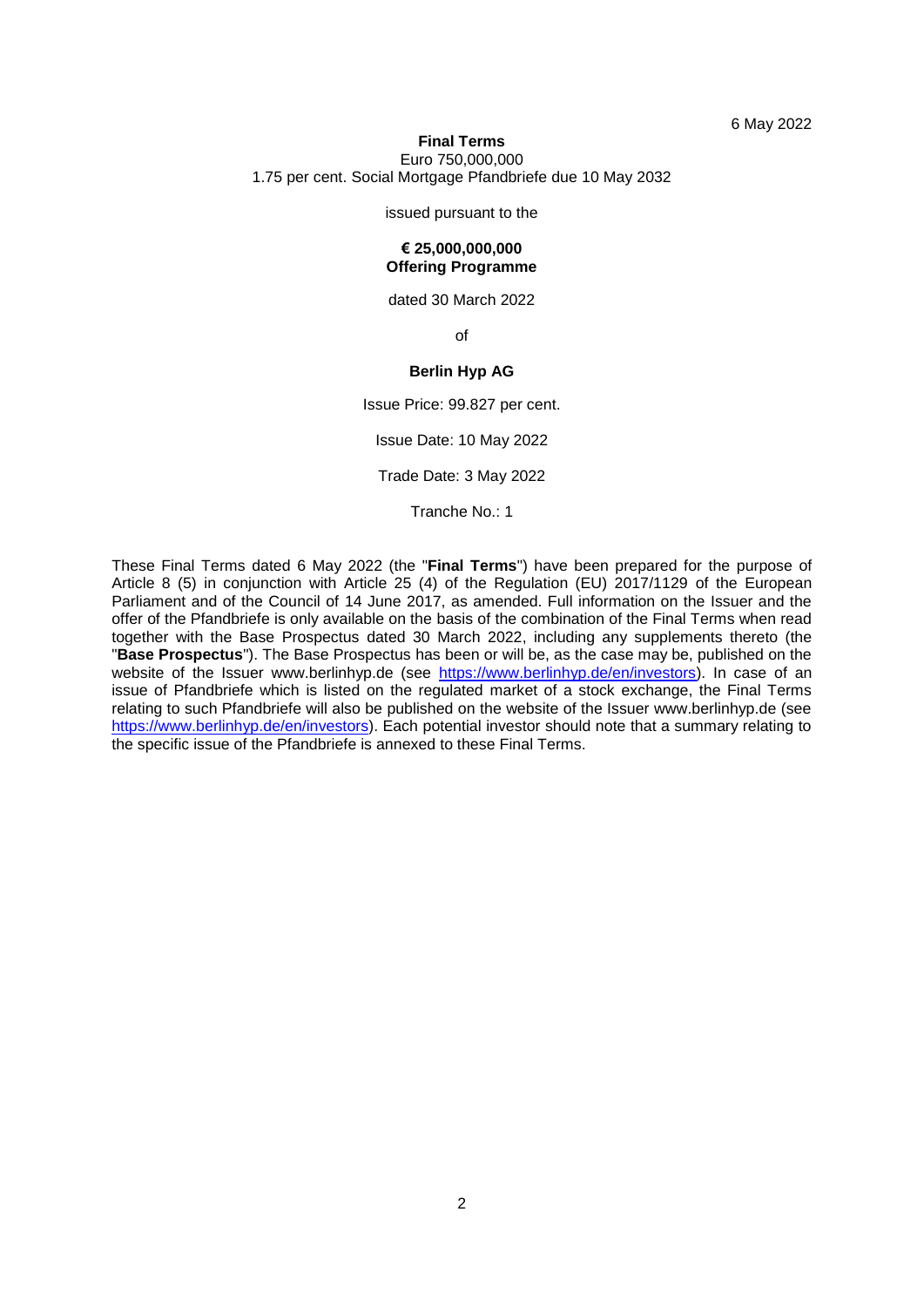6 May 2022

### **Final Terms** Euro 750,000,000 1.75 per cent. Social Mortgage Pfandbriefe due 10 May 2032

# issued pursuant to the **€ 25,000,000,000**

## **Offering Programme**

dated 30 March 2022

of

## **Berlin Hyp AG**

Issue Price: 99.827 per cent.

Issue Date: 10 May 2022

Trade Date: 3 May 2022

Tranche No.: 1

These Final Terms dated 6 May 2022 (the "**Final Terms**") have been prepared for the purpose of Article 8 (5) in conjunction with Article 25 (4) of the Regulation (EU) 2017/1129 of the European Parliament and of the Council of 14 June 2017, as amended. Full information on the Issuer and the offer of the Pfandbriefe is only available on the basis of the combination of the Final Terms when read together with the Base Prospectus dated 30 March 2022, including any supplements thereto (the "**Base Prospectus**"). The Base Prospectus has been or will be, as the case may be, published on the website of the Issuer www.berlinhyp.de (see [https://www.berlinhyp.de/en/investors\)](https://www.berlinhyp.de/en/investors). In case of an issue of Pfandbriefe which is listed on the regulated market of a stock exchange, the Final Terms relating to such Pfandbriefe will also be published on the website of the Issuer www.berlinhyp.de (see [https://www.berlinhyp.de/en/investors\)](https://www.berlinhyp.de/en/investors). Each potential investor should note that a summary relating to the specific issue of the Pfandbriefe is annexed to these Final Terms.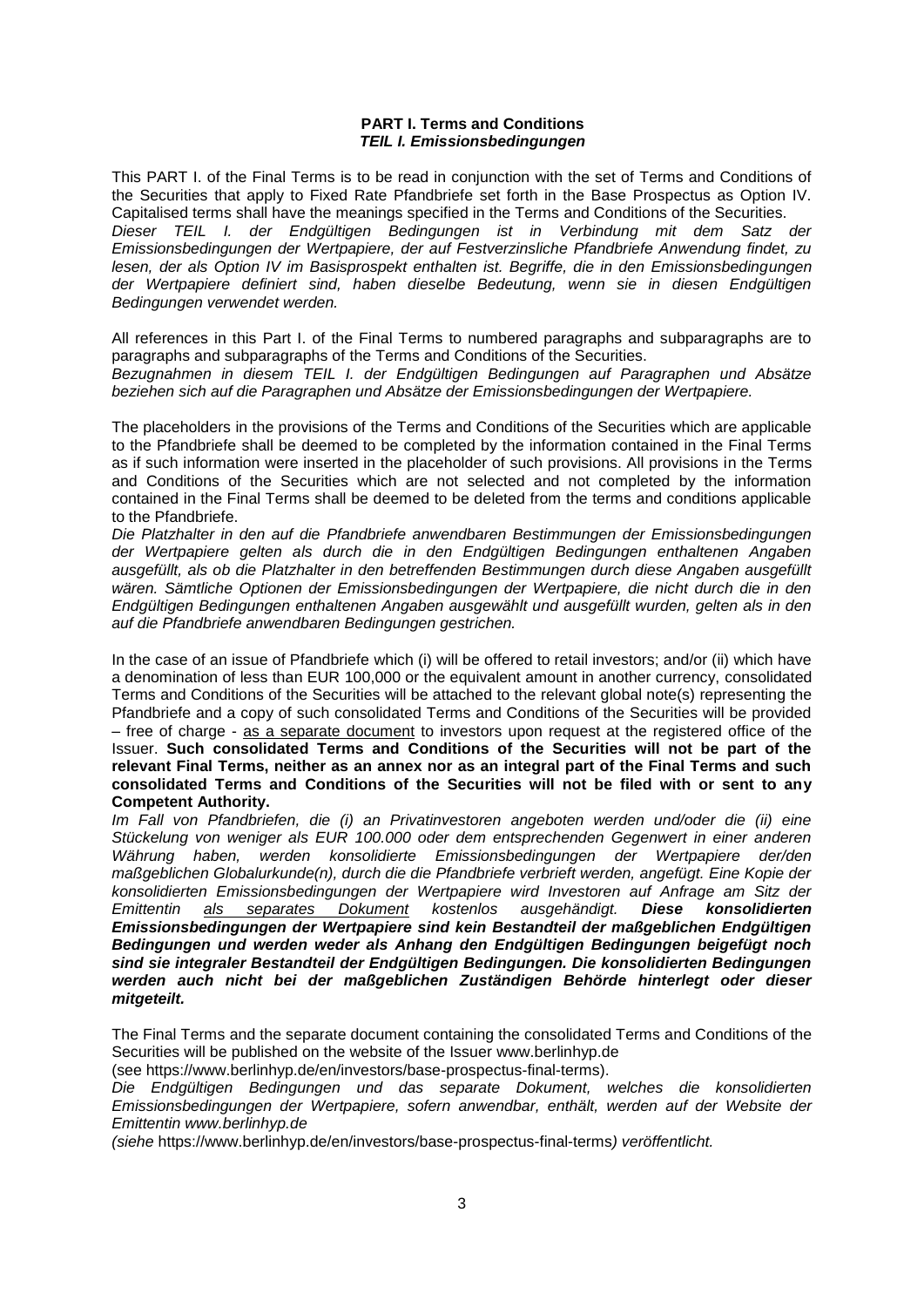## **PART I. Terms and Conditions** *TEIL I. Emissionsbedingungen*

This PART I. of the Final Terms is to be read in conjunction with the set of Terms and Conditions of the Securities that apply to Fixed Rate Pfandbriefe set forth in the Base Prospectus as Option IV. Capitalised terms shall have the meanings specified in the Terms and Conditions of the Securities. *Dieser TEIL I. der Endgültigen Bedingungen ist in Verbindung mit dem Satz der Emissionsbedingungen der Wertpapiere, der auf Festverzinsliche Pfandbriefe Anwendung findet, zu lesen, der als Option IV im Basisprospekt enthalten ist. Begriffe, die in den Emissionsbedingungen der Wertpapiere definiert sind, haben dieselbe Bedeutung, wenn sie in diesen Endgültigen Bedingungen verwendet werden.*

All references in this Part I. of the Final Terms to numbered paragraphs and subparagraphs are to paragraphs and subparagraphs of the Terms and Conditions of the Securities. *Bezugnahmen in diesem TEIL I. der Endgültigen Bedingungen auf Paragraphen und Absätze beziehen sich auf die Paragraphen und Absätze der Emissionsbedingungen der Wertpapiere.*

The placeholders in the provisions of the Terms and Conditions of the Securities which are applicable to the Pfandbriefe shall be deemed to be completed by the information contained in the Final Terms as if such information were inserted in the placeholder of such provisions. All provisions in the Terms and Conditions of the Securities which are not selected and not completed by the information contained in the Final Terms shall be deemed to be deleted from the terms and conditions applicable to the Pfandbriefe.

*Die Platzhalter in den auf die Pfandbriefe anwendbaren Bestimmungen der Emissionsbedingungen der Wertpapiere gelten als durch die in den Endgültigen Bedingungen enthaltenen Angaben ausgefüllt, als ob die Platzhalter in den betreffenden Bestimmungen durch diese Angaben ausgefüllt wären. Sämtliche Optionen der Emissionsbedingungen der Wertpapiere, die nicht durch die in den Endgültigen Bedingungen enthaltenen Angaben ausgewählt und ausgefüllt wurden, gelten als in den auf die Pfandbriefe anwendbaren Bedingungen gestrichen.*

In the case of an issue of Pfandbriefe which (i) will be offered to retail investors; and/or (ii) which have a denomination of less than EUR 100,000 or the equivalent amount in another currency, consolidated Terms and Conditions of the Securities will be attached to the relevant global note(s) representing the Pfandbriefe and a copy of such consolidated Terms and Conditions of the Securities will be provided – free of charge - as a separate document to investors upon request at the registered office of the Issuer. **Such consolidated Terms and Conditions of the Securities will not be part of the relevant Final Terms, neither as an annex nor as an integral part of the Final Terms and such consolidated Terms and Conditions of the Securities will not be filed with or sent to any Competent Authority.**

*Im Fall von Pfandbriefen, die (i) an Privatinvestoren angeboten werden und/oder die (ii) eine Stückelung von weniger als EUR 100.000 oder dem entsprechenden Gegenwert in einer anderen Währung haben, werden konsolidierte Emissionsbedingungen der Wertpapiere der/den maßgeblichen Globalurkunde(n), durch die die Pfandbriefe verbrieft werden, angefügt. Eine Kopie der konsolidierten Emissionsbedingungen der Wertpapiere wird Investoren auf Anfrage am Sitz der Emittentin als separates Dokument kostenlos ausgehändigt. Diese konsolidierten Emissionsbedingungen der Wertpapiere sind kein Bestandteil der maßgeblichen Endgültigen Bedingungen und werden weder als Anhang den Endgültigen Bedingungen beigefügt noch sind sie integraler Bestandteil der Endgültigen Bedingungen. Die konsolidierten Bedingungen werden auch nicht bei der maßgeblichen Zuständigen Behörde hinterlegt oder dieser mitgeteilt.*

The Final Terms and the separate document containing the consolidated Terms and Conditions of the Securities will be published on the website of the Issuer www.berlinhyp.de

(see https://www.berlinhyp.de/en/investors/base-prospectus-final-terms).

*Die Endgültigen Bedingungen und das separate Dokument, welches die konsolidierten Emissionsbedingungen der Wertpapiere, sofern anwendbar, enthält, werden auf der Website der Emittentin www.berlinhyp.de*

*(siehe* https://www.berlinhyp.de/en/investors/base-prospectus-final-terms*) veröffentlicht.*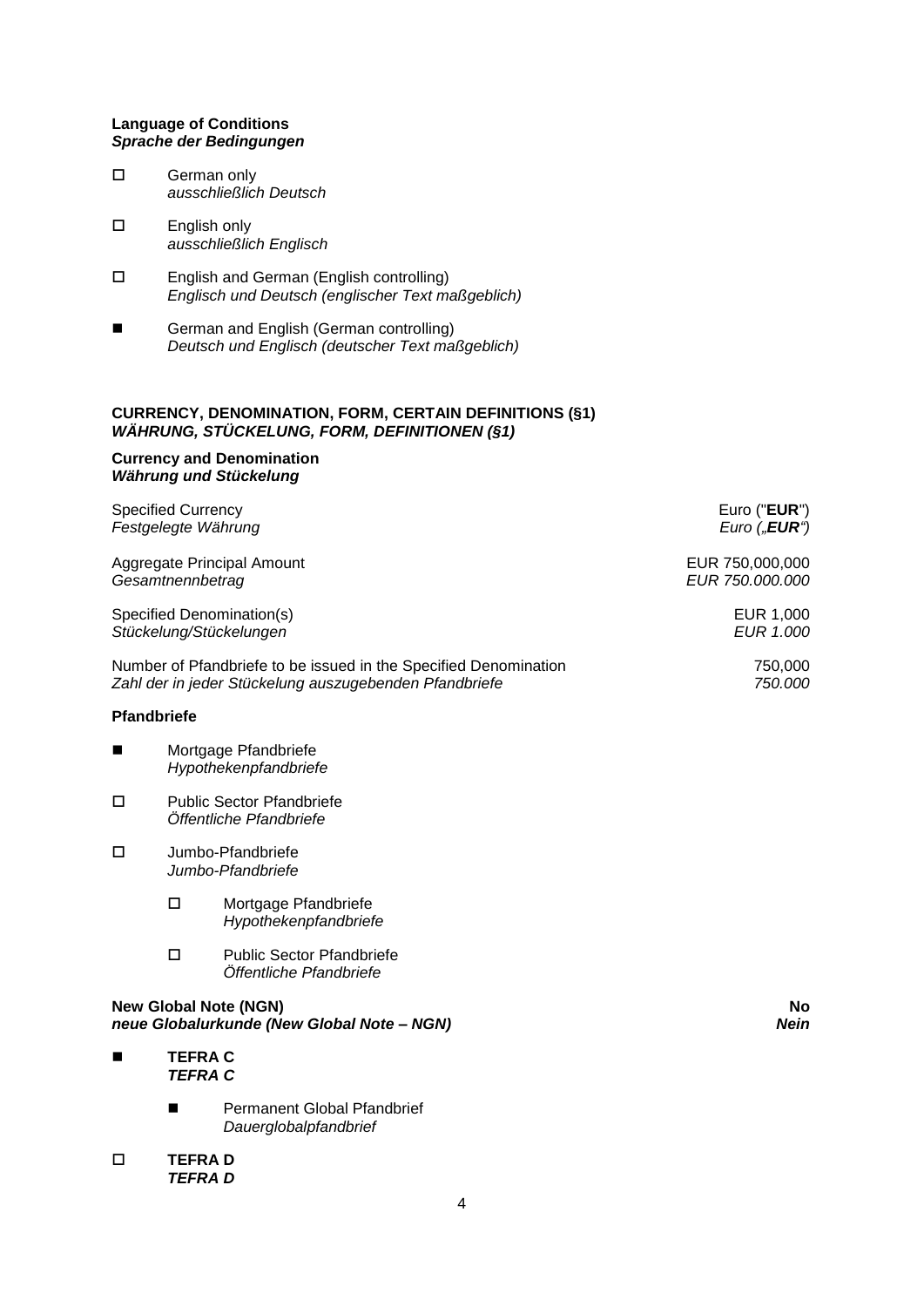## **Language of Conditions** *Sprache der Bedingungen*

- □ German only *ausschließlich Deutsch*
- English only *ausschließlich Englisch*
- English and German (English controlling) *Englisch und Deutsch (englischer Text maßgeblich)*
- **Example 3** German and English (German controlling) *Deutsch und Englisch (deutscher Text maßgeblich)*

## **CURRENCY, DENOMINATION, FORM, CERTAIN DEFINITIONS (§1)** *WÄHRUNG, STÜCKELUNG, FORM, DEFINITIONEN (§1)*

## **Currency and Denomination** *Währung und Stückelung*

|             | <b>Specified Currency</b><br>Festgelegte Währung |                                                                                                                            | Euro ("EUR")<br>Euro $($ " <b>EUR</b> " $)$ |
|-------------|--------------------------------------------------|----------------------------------------------------------------------------------------------------------------------------|---------------------------------------------|
|             | Gesamtnennbetrag                                 | Aggregate Principal Amount                                                                                                 | EUR 750,000,000<br>EUR 750.000.000          |
|             |                                                  | Specified Denomination(s)<br>Stückelung/Stückelungen                                                                       | EUR 1,000<br>EUR 1.000                      |
|             |                                                  | Number of Pfandbriefe to be issued in the Specified Denomination<br>Zahl der in jeder Stückelung auszugebenden Pfandbriefe | 750,000<br>750.000                          |
| Pfandbriefe |                                                  |                                                                                                                            |                                             |
| ш           |                                                  | Mortgage Pfandbriefe<br>Hypothekenpfandbriefe                                                                              |                                             |
| $\Box$      |                                                  | <b>Public Sector Pfandbriefe</b><br>Öffentliche Pfandbriefe                                                                |                                             |
| □           |                                                  | Jumbo-Pfandbriefe<br>Jumbo-Pfandbriefe                                                                                     |                                             |
|             | □                                                | Mortgage Pfandbriefe<br>Hypothekenpfandbriefe                                                                              |                                             |
|             | $\Box$                                           | <b>Public Sector Pfandbriefe</b><br>Öffentliche Pfandbriefe                                                                |                                             |
|             |                                                  | <b>New Global Note (NGN)</b><br>neue Globalurkunde (New Global Note - NGN)                                                 | No.<br><b>Nein</b>                          |
|             | <b>TEFRAC</b><br><b>TEFRA C</b>                  |                                                                                                                            |                                             |
|             | ш                                                | Permanent Global Pfandbrief<br>Dauerglobalpfandbrief                                                                       |                                             |
| □           | <b>TEFRAD</b><br><b>TEFRAD</b>                   |                                                                                                                            |                                             |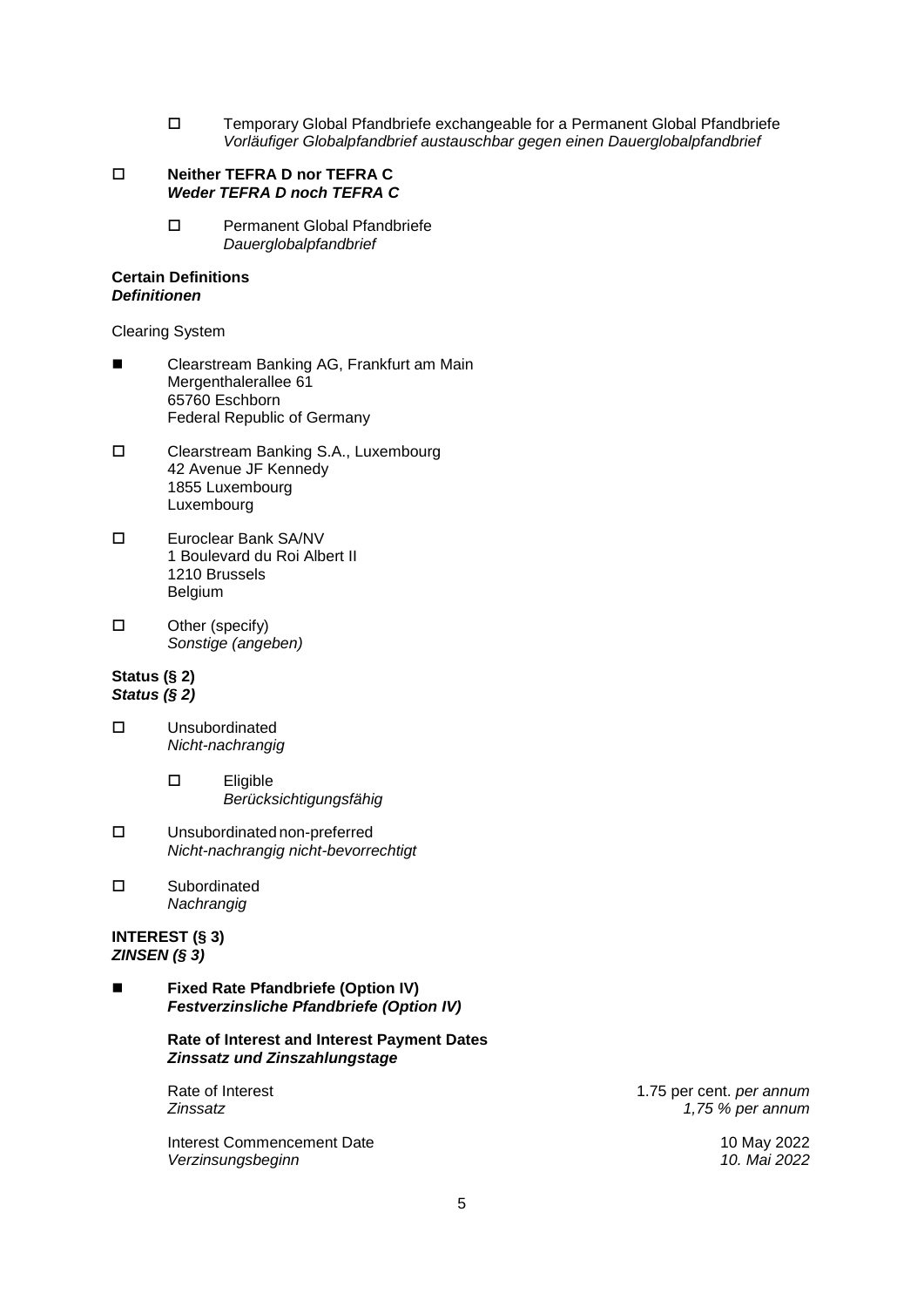Temporary Global Pfandbriefe exchangeable for a Permanent Global Pfandbriefe *Vorläufiger Globalpfandbrief austauschbar gegen einen Dauerglobalpfandbrief*

#### **Neither TEFRA D nor TEFRA C** *Weder TEFRA D noch TEFRA C*

□ Permanent Global Pfandbriefe *Dauerglobalpfandbrief*

## **Certain Definitions** *Definitionen*

Clearing System

- Clearstream Banking AG, Frankfurt am Main Mergenthalerallee 61 65760 Eschborn Federal Republic of Germany
- □ Clearstream Banking S.A., Luxembourg 42 Avenue JF Kennedy 1855 Luxembourg Luxembourg
- Euroclear Bank SA/NV 1 Boulevard du Roi Albert II 1210 Brussels Belgium
- □ Other (specify) *Sonstige (angeben)*

## **Status (§ 2)** *Status (§ 2)*

- Unsubordinated *Nicht-nachrangig* 
	- Eligible *Berücksichtigungsfähig*
- Unsubordinated non-preferred *Nicht-nachrangig nicht-bevorrechtigt*
- Subordinated *Nachrangig*

## **INTEREST (§ 3)** *ZINSEN (§ 3)*

 **Fixed Rate Pfandbriefe (Option IV)** *Festverzinsliche Pfandbriefe (Option IV)*

> **Rate of Interest and Interest Payment Dates** *Zinssatz und Zinszahlungstage*

Interest Commencement Date 10 May 2022 *Verzinsungsbeginn 10. Mai 2022*

Rate of Interest **1.75 per cent.** *per annum* 1.75 per cent. *per annum Zinssatz 1,75 % per annum*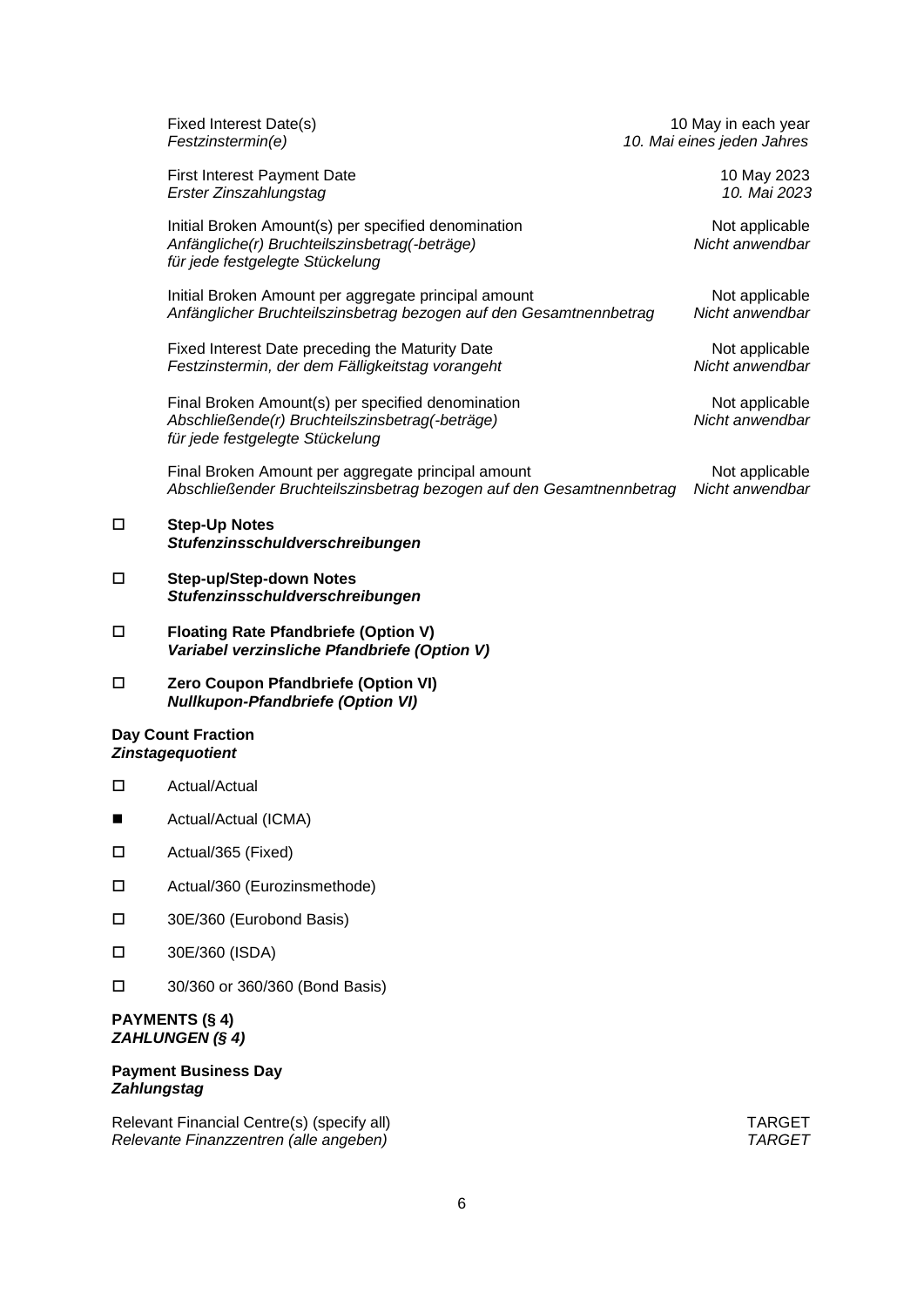|                    | Fixed Interest Date(s)<br>Festzinstermin(e)                                                                                             | 10 May in each year<br>10. Mai eines jeden Jahres |
|--------------------|-----------------------------------------------------------------------------------------------------------------------------------------|---------------------------------------------------|
|                    | <b>First Interest Payment Date</b><br>Erster Zinszahlungstag                                                                            | 10 May 2023<br>10. Mai 2023                       |
|                    | Initial Broken Amount(s) per specified denomination<br>Anfängliche(r) Bruchteilszinsbetrag(-beträge)<br>für jede festgelegte Stückelung | Not applicable<br>Nicht anwendbar                 |
|                    | Initial Broken Amount per aggregate principal amount<br>Anfänglicher Bruchteilszinsbetrag bezogen auf den Gesamtnennbetrag              | Not applicable<br>Nicht anwendbar                 |
|                    | Fixed Interest Date preceding the Maturity Date<br>Festzinstermin, der dem Fälligkeitstag vorangeht                                     | Not applicable<br>Nicht anwendbar                 |
|                    | Final Broken Amount(s) per specified denomination<br>Abschließende(r) Bruchteilszinsbetrag(-beträge)<br>für jede festgelegte Stückelung | Not applicable<br>Nicht anwendbar                 |
|                    | Final Broken Amount per aggregate principal amount<br>Abschließender Bruchteilszinsbetrag bezogen auf den Gesamtnennbetrag              | Not applicable<br>Nicht anwendbar                 |
| $\Box$             | <b>Step-Up Notes</b><br>Stufenzinsschuldverschreibungen                                                                                 |                                                   |
| □                  | <b>Step-up/Step-down Notes</b><br>Stufenzinsschuldverschreibungen                                                                       |                                                   |
| □                  | <b>Floating Rate Pfandbriefe (Option V)</b><br>Variabel verzinsliche Pfandbriefe (Option V)                                             |                                                   |
| □                  | Zero Coupon Pfandbriefe (Option VI)<br><b>Nullkupon-Pfandbriefe (Option VI)</b>                                                         |                                                   |
|                    | <b>Day Count Fraction</b><br><b>Zinstagequotient</b>                                                                                    |                                                   |
| □                  | Actual/Actual                                                                                                                           |                                                   |
| ■                  | Actual/Actual (ICMA)                                                                                                                    |                                                   |
| $\Box$             | Actual/365 (Fixed)                                                                                                                      |                                                   |
| $\Box$             | Actual/360 (Eurozinsmethode)                                                                                                            |                                                   |
| $\Box$             | 30E/360 (Eurobond Basis)                                                                                                                |                                                   |
| □                  | 30E/360 (ISDA)                                                                                                                          |                                                   |
| □                  | 30/360 or 360/360 (Bond Basis)                                                                                                          |                                                   |
|                    | <b>PAYMENTS (§ 4)</b><br><b>ZAHLUNGEN (§ 4)</b>                                                                                         |                                                   |
| <b>Zahlungstag</b> | <b>Payment Business Day</b>                                                                                                             |                                                   |

Relevant Financial Centre(s) (specify all) TARGET *Relevante Finanzzentren (alle angeben) TARGET*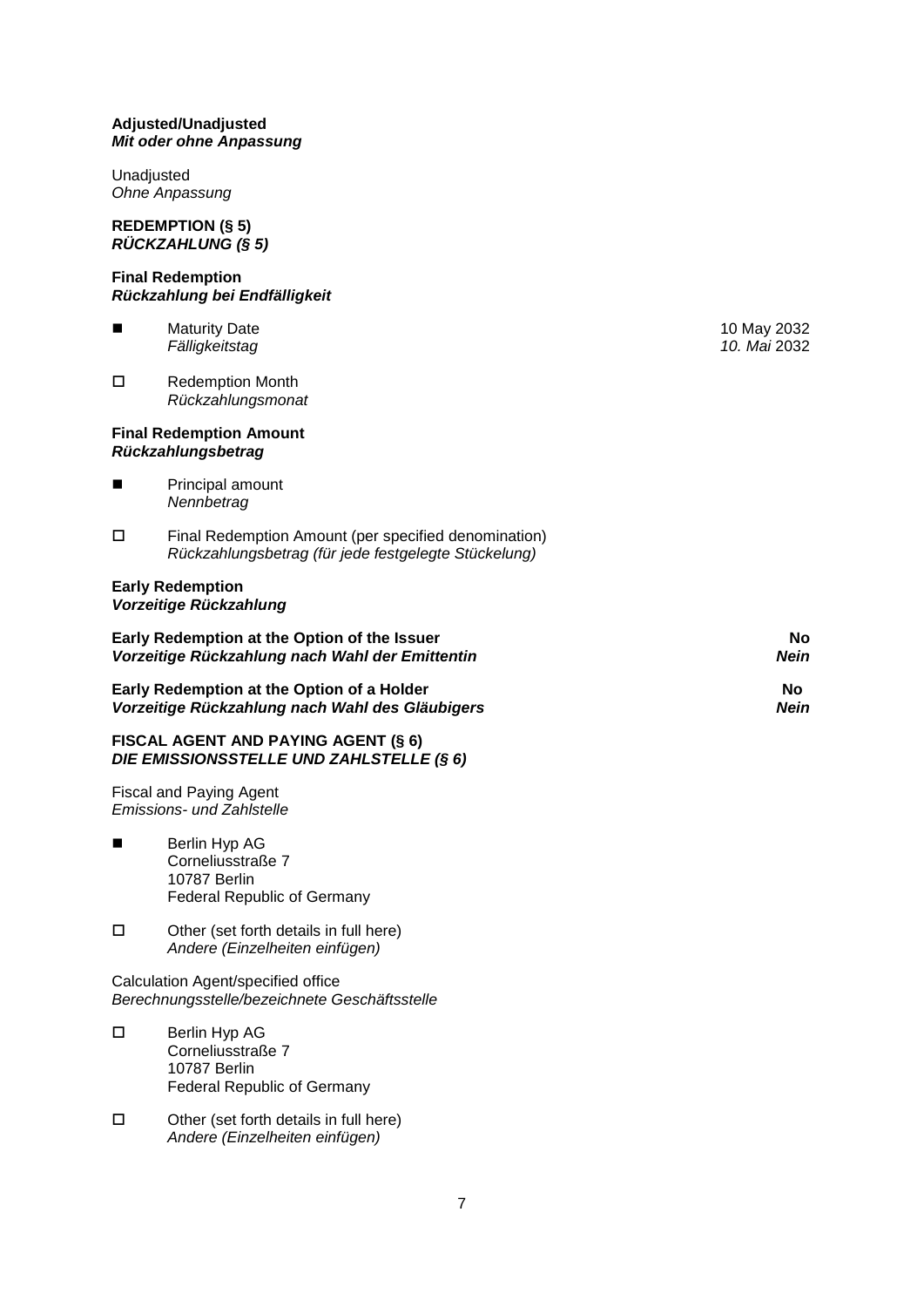## **Adjusted/Unadjusted** *Mit oder ohne Anpassung*

Unadjusted *Ohne Anpassung*

## **REDEMPTION (§ 5)** *RÜCKZAHLUNG (§ 5)*

### **Final Redemption** *Rückzahlung bei Endfälligkeit*

- Maturity Date 10 May 2032 *Fälligkeitstag 10. Mai* 2032
- □ Redemption Month *Rückzahlungsmonat*

## **Final Redemption Amount** *Rückzahlungsbetrag*

- **Principal amount** *Nennbetrag*
- Final Redemption Amount (per specified denomination) *Rückzahlungsbetrag (für jede festgelegte Stückelung)*

## **Early Redemption** *Vorzeitige Rückzahlung*

| Early Redemption at the Option of the Issuer    | No.  |
|-------------------------------------------------|------|
| Vorzeitige Rückzahlung nach Wahl der Emittentin | Nein |
| Early Redemption at the Option of a Holder      | No   |
| Vorzeitige Rückzahlung nach Wahl des Gläubigers | Nein |

## **FISCAL AGENT AND PAYING AGENT (§ 6)** *DIE EMISSIONSSTELLE UND ZAHLSTELLE (§ 6)*

Fiscal and Paying Agent *Emissions- und Zahlstelle*

- Berlin Hyp AG Corneliusstraße 7 10787 Berlin Federal Republic of Germany
- $\square$  Other (set forth details in full here) *Andere (Einzelheiten einfügen)*

Calculation Agent/specified office *Berechnungsstelle/bezeichnete Geschäftsstelle*

- Berlin Hyp AG Corneliusstraße 7 10787 Berlin Federal Republic of Germany
- $\square$  Other (set forth details in full here) *Andere (Einzelheiten einfügen)*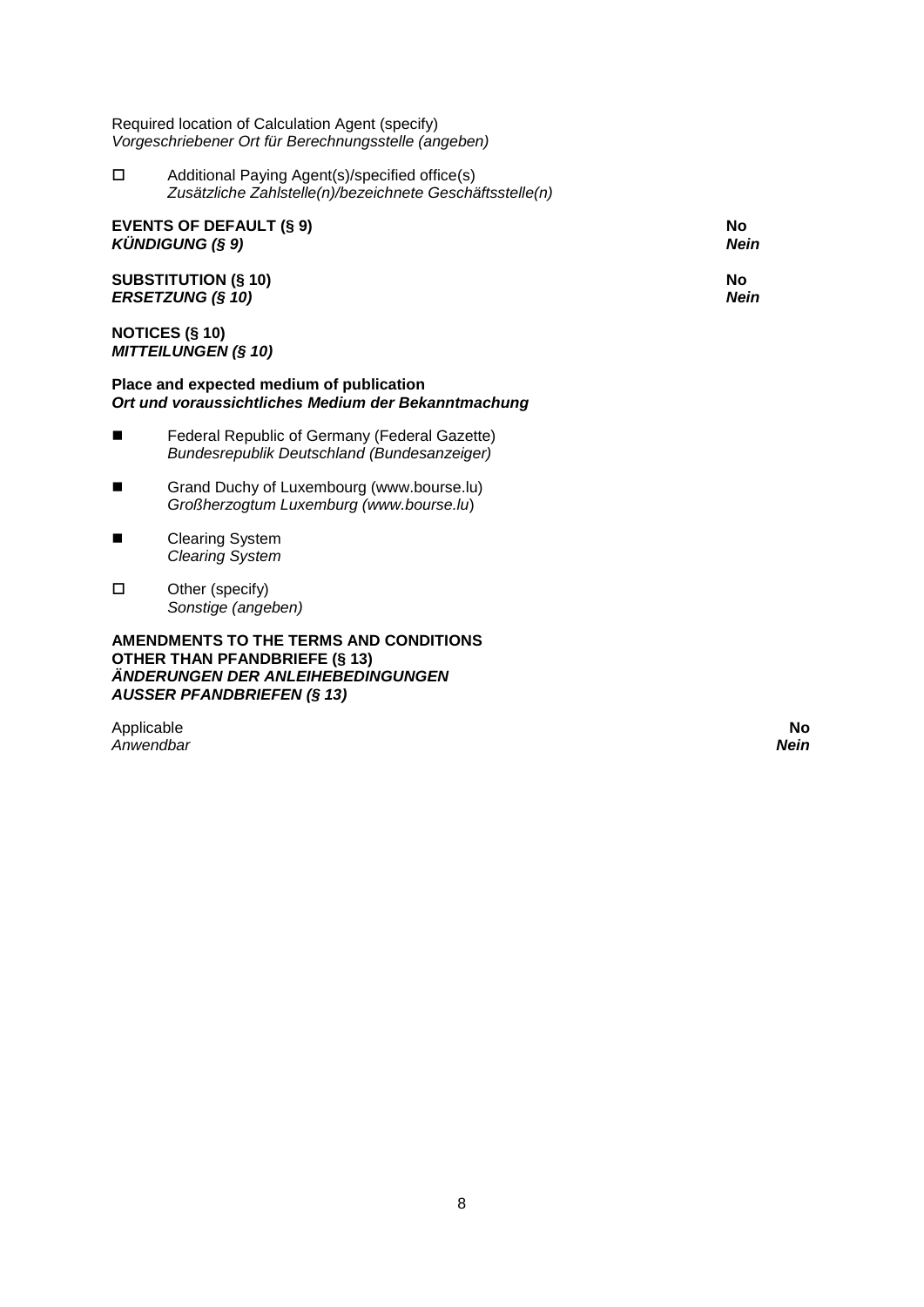Required location of Calculation Agent (specify) *Vorgeschriebener Ort für Berechnungsstelle (angeben)*

 Additional Paying Agent(s)/specified office(s) *Zusätzliche Zahlstelle(n)/bezeichnete Geschäftsstelle(n)*

| <b>EVENTS OF DEFAULT (§ 9)</b> | No   |
|--------------------------------|------|
| KÜNDIGUNG (§ 9)                | Nein |
| <b>SUBSTITUTION (§ 10)</b>     | Nο   |
| <b>ERSETZUNG (§ 10)</b>        | Nein |

## **NOTICES (§ 10)** *MITTEILUNGEN (§ 10)*

## **Place and expected medium of publication** *Ort und voraussichtliches Medium der Bekanntmachung*

- Federal Republic of Germany (Federal Gazette) *Bundesrepublik Deutschland (Bundesanzeiger)*
- Grand Duchy of Luxembourg (www.bourse.lu) *Großherzogtum Luxemburg (www.bourse.lu*)
- Clearing System *Clearing System*
- $\square$  Other (specify) *Sonstige (angeben)*

**AMENDMENTS TO THE TERMS AND CONDITIONS OTHER THAN PFANDBRIEFE (§ 13)** *ÄNDERUNGEN DER ANLEIHEBEDINGUNGEN AUSSER PFANDBRIEFEN (§ 13)*

Applicable **No** *Anwendbar Nein*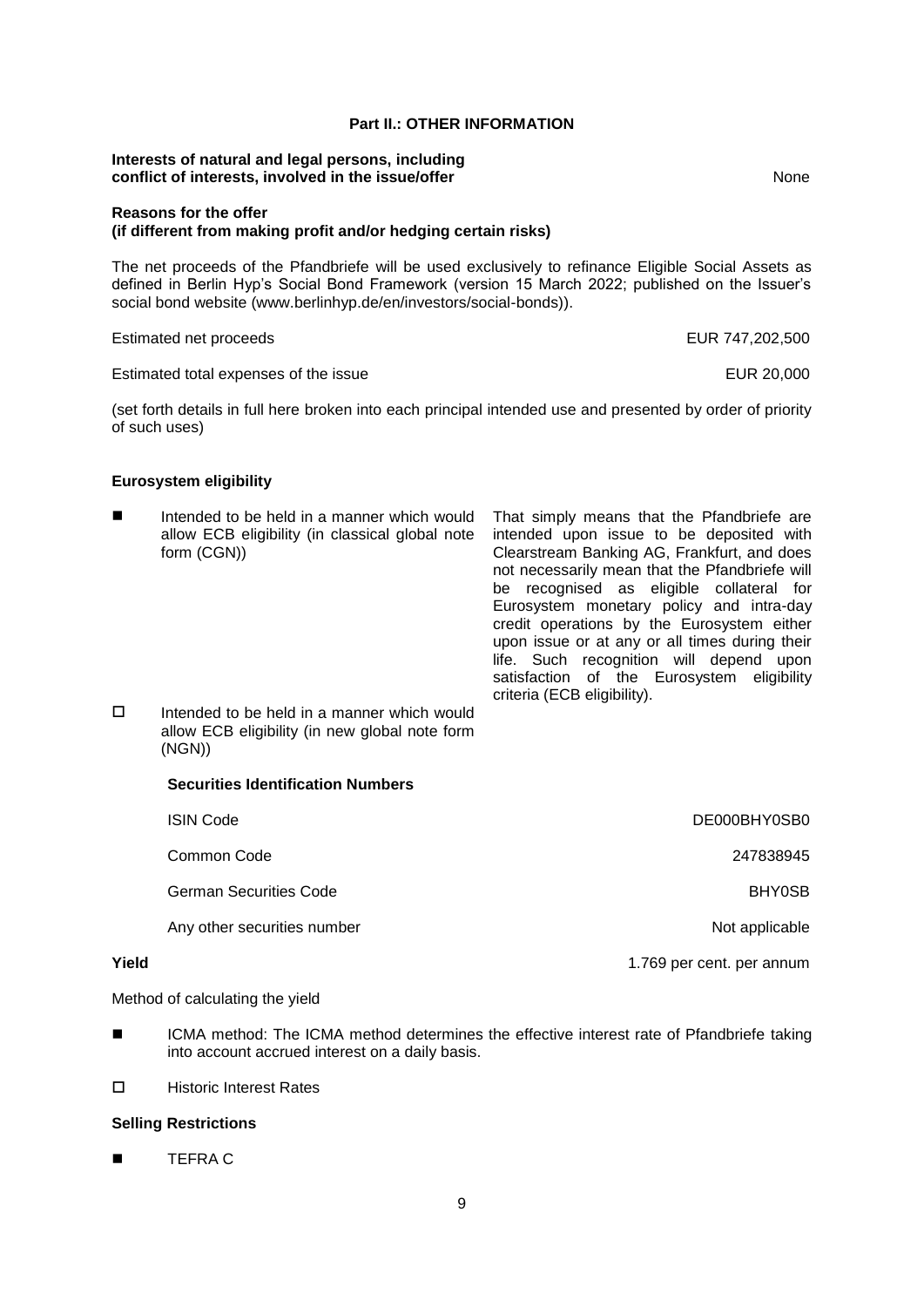## **Part II.: OTHER INFORMATION**

#### **Interests of natural and legal persons, including conflict of interests, involved in the issue/offer None** None

### **Reasons for the offer (if different from making profit and/or hedging certain risks)**

The net proceeds of the Pfandbriefe will be used exclusively to refinance Eligible Social Assets as defined in Berlin Hyp's Social Bond Framework (version 15 March 2022; published on the Issuer's social bond website (www.berlinhyp.de/en/investors/social-bonds)).

#### Estimated net proceeds EUR 747,202,500

### Estimated total expenses of the issue EUR 20,000

(set forth details in full here broken into each principal intended use and presented by order of priority of such uses)

### **Eurosystem eligibility**

 Intended to be held in a manner which would allow ECB eligibility (in classical global note form (CGN)) That simply means that the Pfandbriefe are intended upon issue to be deposited with Clearstream Banking AG, Frankfurt, and does not necessarily mean that the Pfandbriefe will be recognised as eligible collateral for Eurosystem monetary policy and intra-day credit operations by the Eurosystem either upon issue or at any or all times during their life. Such recognition will depend upon satisfaction of the Eurosystem eligibility criteria (ECB eligibility).  $\square$  Intended to be held in a manner which would allow ECB eligibility (in new global note form (NGN)) **Securities Identification Numbers** ISIN Code DE000BHY0SB0

|       | טשטע וושו                     | <u> PLUUUDI II UUDU</u>   |
|-------|-------------------------------|---------------------------|
|       | Common Code                   | 247838945                 |
|       | <b>German Securities Code</b> | <b>BHY0SB</b>             |
|       | Any other securities number   | Not applicable            |
| Yield |                               | 1.769 per cent. per annum |

Method of calculating the yield

 ICMA method: The ICMA method determines the effective interest rate of Pfandbriefe taking into account accrued interest on a daily basis.

□ Historic Interest Rates

## **Selling Restrictions**

**TEFRA C**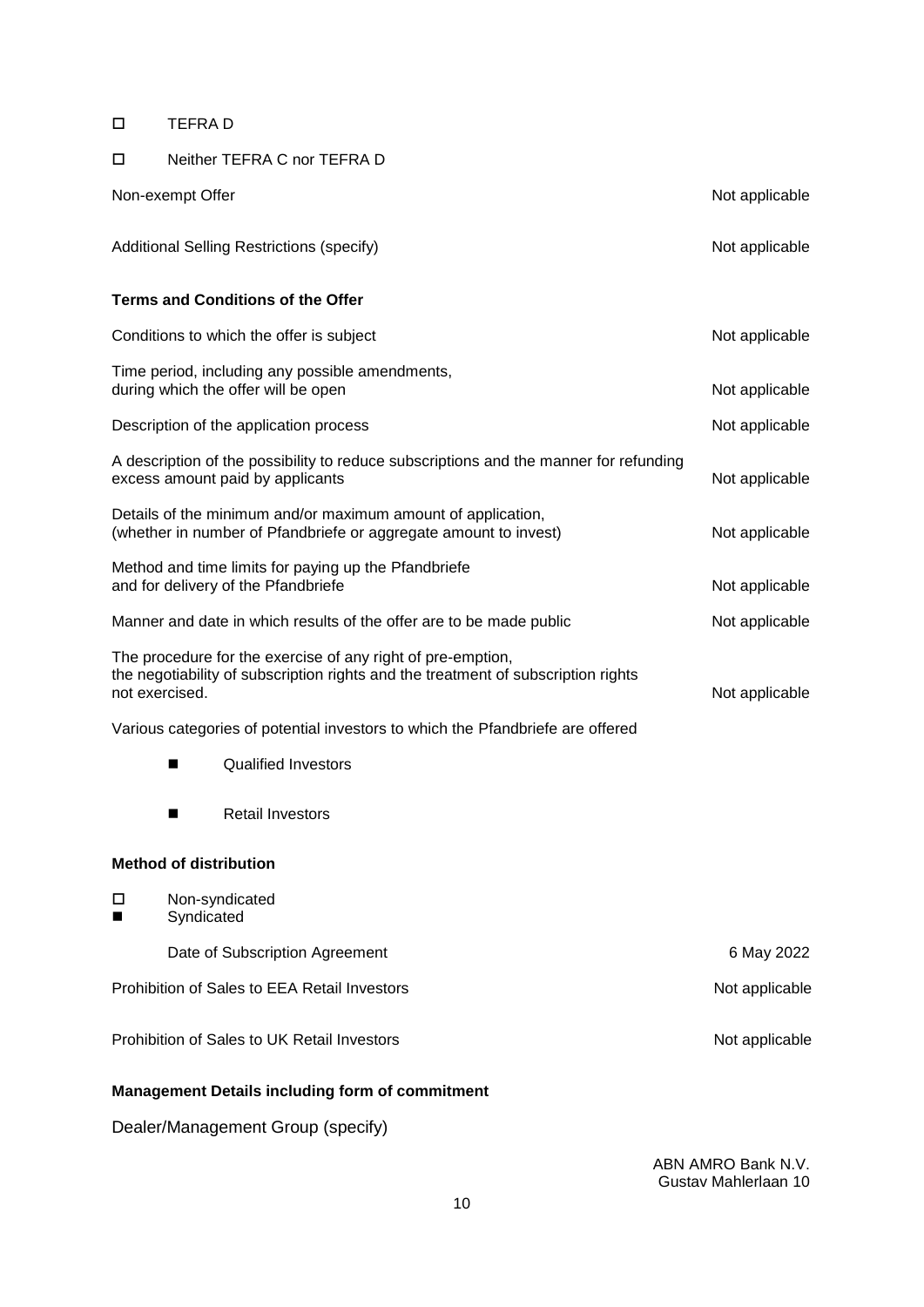## TEFRA D

## Neither TEFRA C nor TEFRA D

|                | Non-exempt Offer                                                                                                                                 | Not applicable |
|----------------|--------------------------------------------------------------------------------------------------------------------------------------------------|----------------|
|                | <b>Additional Selling Restrictions (specify)</b>                                                                                                 | Not applicable |
|                | <b>Terms and Conditions of the Offer</b>                                                                                                         |                |
|                | Conditions to which the offer is subject                                                                                                         | Not applicable |
|                | Time period, including any possible amendments,<br>during which the offer will be open                                                           | Not applicable |
|                | Description of the application process                                                                                                           | Not applicable |
|                | A description of the possibility to reduce subscriptions and the manner for refunding<br>excess amount paid by applicants                        | Not applicable |
|                | Details of the minimum and/or maximum amount of application,<br>(whether in number of Pfandbriefe or aggregate amount to invest)                 | Not applicable |
|                | Method and time limits for paying up the Pfandbriefe<br>and for delivery of the Pfandbriefe                                                      | Not applicable |
|                | Manner and date in which results of the offer are to be made public                                                                              | Not applicable |
| not exercised. | The procedure for the exercise of any right of pre-emption,<br>the negotiability of subscription rights and the treatment of subscription rights | Not applicable |
|                | Various categories of potential investors to which the Pfandbriefe are offered                                                                   |                |
|                | <b>Qualified Investors</b><br>■                                                                                                                  |                |
|                | <b>Retail Investors</b><br>■                                                                                                                     |                |
|                | <b>Method of distribution</b>                                                                                                                    |                |
| □              | Non-syndicated<br>Syndicated                                                                                                                     |                |
|                | Date of Subscription Agreement                                                                                                                   | 6 May 2022     |
|                | Prohibition of Sales to EEA Retail Investors                                                                                                     | Not applicable |
|                | Prohibition of Sales to UK Retail Investors                                                                                                      | Not applicable |
|                | <b>Management Details including form of commitment</b>                                                                                           |                |
|                | Dealer/Management Group (specify)                                                                                                                |                |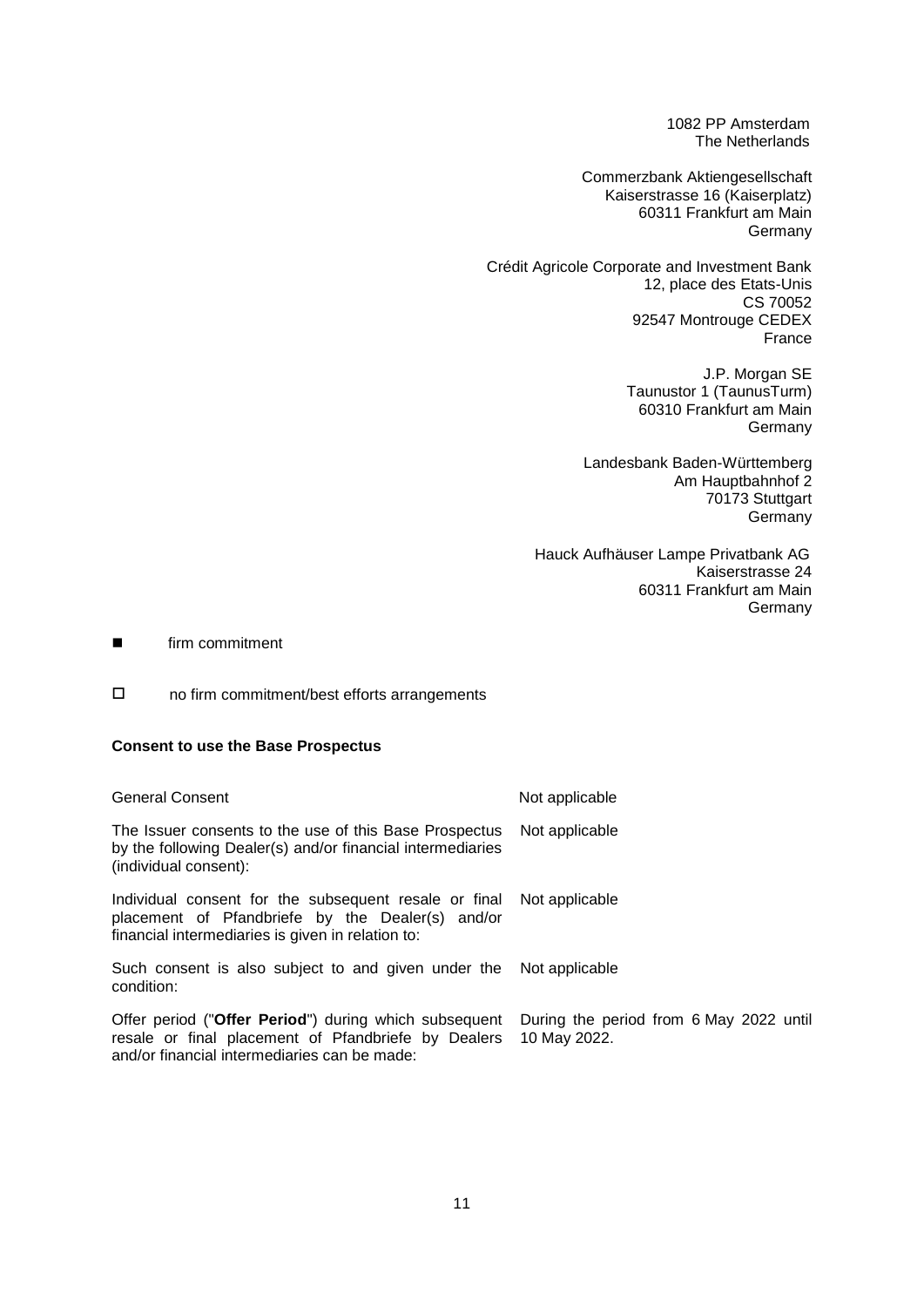1082 PP Amsterdam The Netherlands

Commerzbank Aktiengesellschaft Kaiserstrasse 16 (Kaiserplatz) 60311 Frankfurt am Main Germany

Crédit Agricole Corporate and Investment Bank 12, place des Etats-Unis CS 70052 92547 Montrouge CEDEX France

> J.P. Morgan SE Taunustor 1 (TaunusTurm) 60310 Frankfurt am Main Germany

Landesbank Baden-Württemberg Am Hauptbahnhof 2 70173 Stuttgart Germany

Hauck Aufhäuser Lampe Privatbank AG Kaiserstrasse 24 60311 Frankfurt am Main Germany

**Exercise Firm commitment** 

no firm commitment/best efforts arrangements

## **Consent to use the Base Prospectus**

| <b>General Consent</b>                                                                                                                                                        | Not applicable                                          |
|-------------------------------------------------------------------------------------------------------------------------------------------------------------------------------|---------------------------------------------------------|
| The Issuer consents to the use of this Base Prospectus<br>by the following Dealer(s) and/or financial intermediaries<br>(individual consent):                                 | Not applicable                                          |
| Individual consent for the subsequent resale or final Not applicable<br>placement of Pfandbriefe by the Dealer(s) and/or<br>financial intermediaries is given in relation to: |                                                         |
| Such consent is also subject to and given under the<br>condition:                                                                                                             | Not applicable                                          |
| Offer period ("Offer Period") during which subsequent<br>resale or final placement of Pfandbriefe by Dealers<br>and/or financial intermediaries can be made:                  | During the period from 6 May 2022 until<br>10 May 2022. |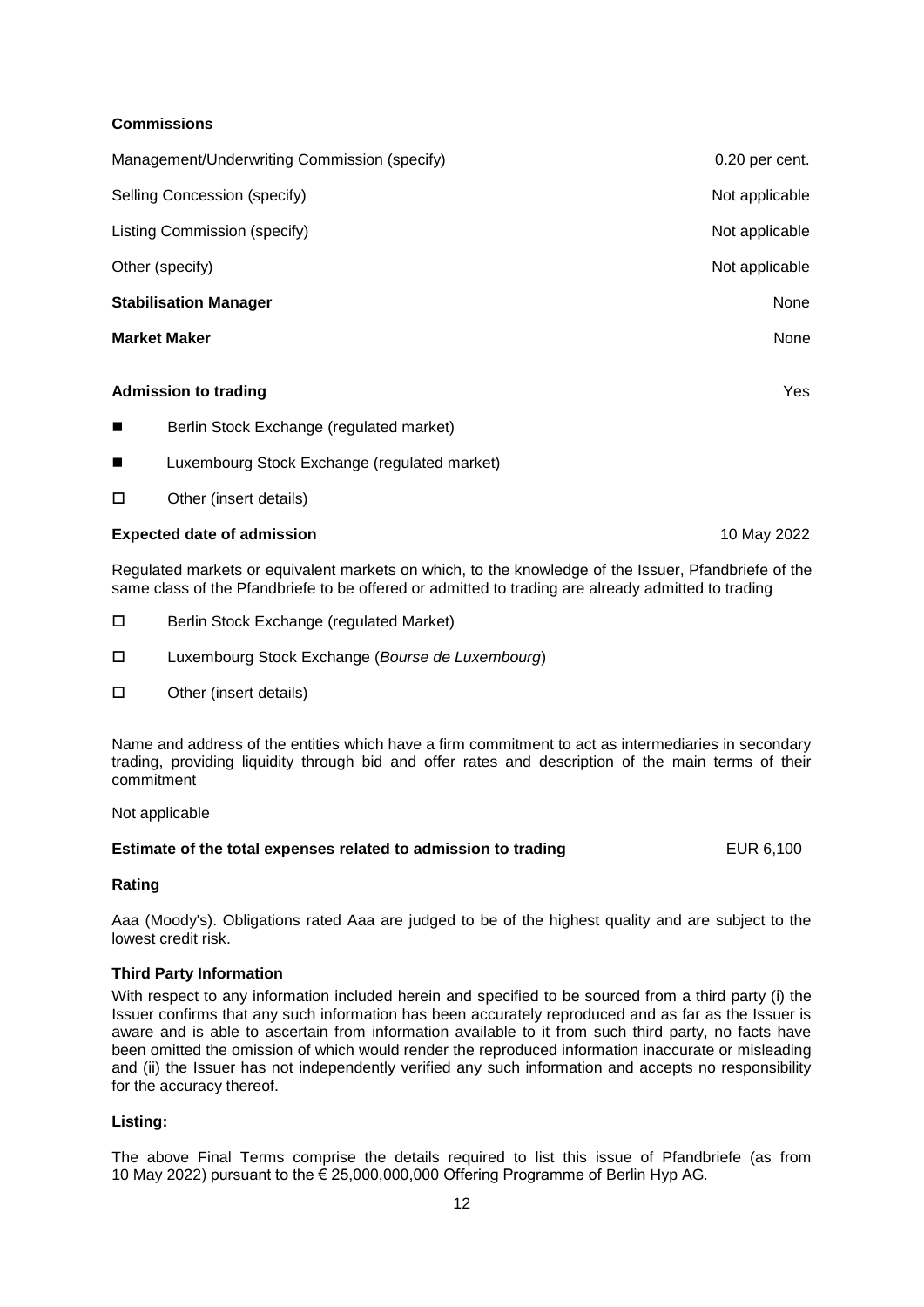## **Commissions**

| Management/Underwriting Commission (specify)               | 0.20 per cent. |
|------------------------------------------------------------|----------------|
| Selling Concession (specify)                               | Not applicable |
| Listing Commission (specify)                               | Not applicable |
| Other (specify)                                            | Not applicable |
| <b>Stabilisation Manager</b>                               | None           |
| <b>Market Maker</b>                                        | None           |
| <b>Admission to trading</b>                                | Yes            |
| Berlin Stock Exchange (regulated market)<br>$\blacksquare$ |                |
| Luxembourg Stock Exchange (regulated market)<br>п          |                |

□ Other (insert details)

## **Expected date of admission** 10 May 2022

Regulated markets or equivalent markets on which, to the knowledge of the Issuer, Pfandbriefe of the same class of the Pfandbriefe to be offered or admitted to trading are already admitted to trading

- □ Berlin Stock Exchange (regulated Market)
- Luxembourg Stock Exchange (*Bourse de Luxembourg*)
- □ Other (insert details)

Name and address of the entities which have a firm commitment to act as intermediaries in secondary trading, providing liquidity through bid and offer rates and description of the main terms of their commitment

Not applicable

## **Estimate of the total expenses related to admission to trading EUR 6,100 EUR 6,100**

## **Rating**

Aaa (Moody's). Obligations rated Aaa are judged to be of the highest quality and are subject to the lowest credit risk.

## **Third Party Information**

With respect to any information included herein and specified to be sourced from a third party (i) the Issuer confirms that any such information has been accurately reproduced and as far as the Issuer is aware and is able to ascertain from information available to it from such third party, no facts have been omitted the omission of which would render the reproduced information inaccurate or misleading and (ii) the Issuer has not independently verified any such information and accepts no responsibility for the accuracy thereof.

## **Listing:**

The above Final Terms comprise the details required to list this issue of Pfandbriefe (as from 10 May 2022) pursuant to the € 25,000,000,000 Offering Programme of Berlin Hyp AG*.*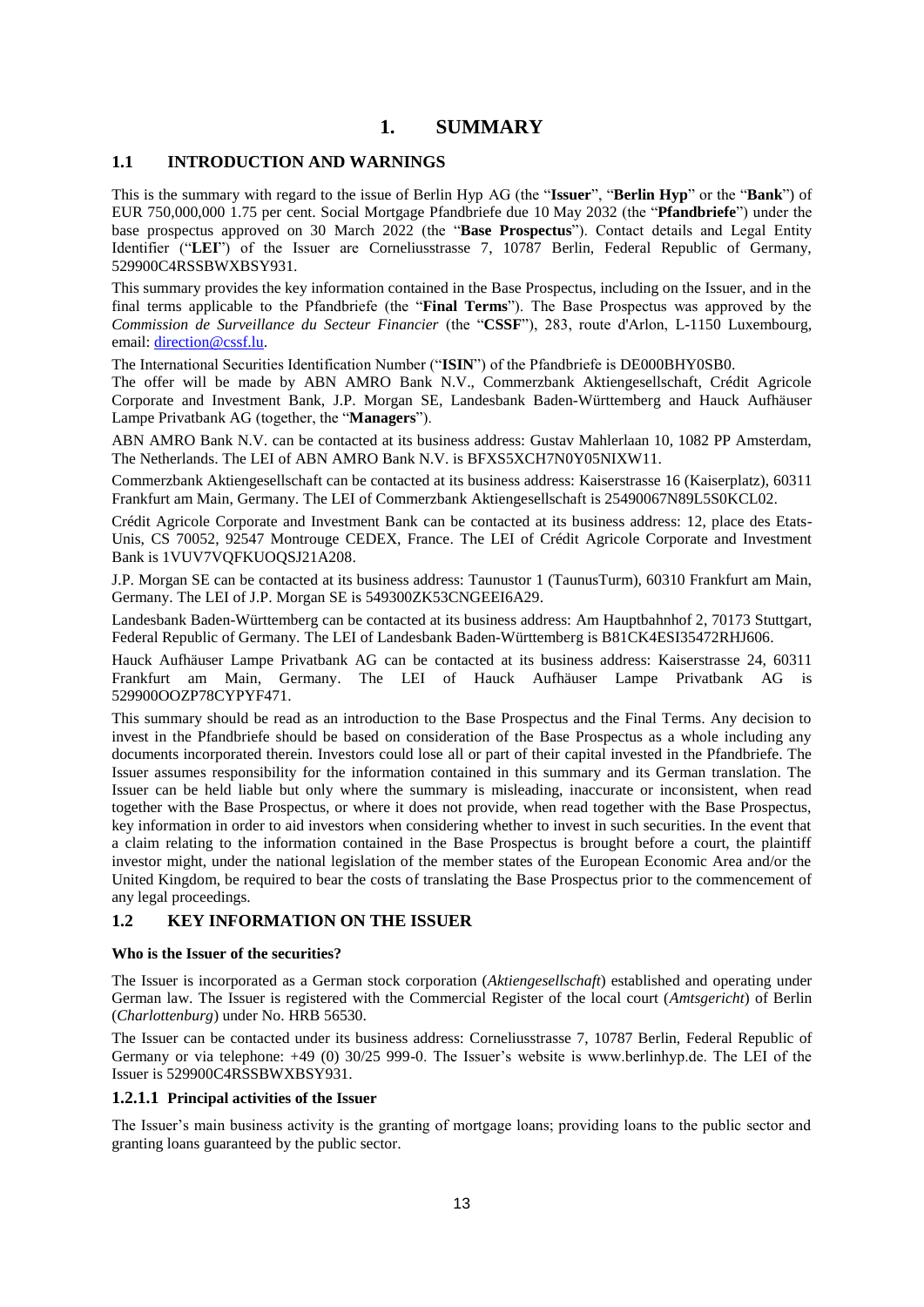# **1. SUMMARY**

## **1.1 INTRODUCTION AND WARNINGS**

This is the summary with regard to the issue of Berlin Hyp AG (the "**Issuer**", "**Berlin Hyp**" or the "**Bank**") of EUR 750,000,000 1.75 per cent. Social Mortgage Pfandbriefe due 10 May 2032 (the "**Pfandbriefe**") under the base prospectus approved on 30 March 2022 (the "**Base Prospectus**"). Contact details and Legal Entity Identifier ("**LEI**") of the Issuer are Corneliusstrasse 7, 10787 Berlin, Federal Republic of Germany, 529900C4RSSBWXBSY931.

This summary provides the key information contained in the Base Prospectus, including on the Issuer, and in the final terms applicable to the Pfandbriefe (the "**Final Terms**"). The Base Prospectus was approved by the *Commission de Surveillance du Secteur Financier* (the "**CSSF**"), 283, route d'Arlon, L-1150 Luxembourg, email: [direction@cssf.lu.](mailto:direction@cssf.lu)

The International Securities Identification Number ("**ISIN**") of the Pfandbriefe is DE000BHY0SB0.

The offer will be made by ABN AMRO Bank N.V., Commerzbank Aktiengesellschaft, Crédit Agricole Corporate and Investment Bank, J.P. Morgan SE, Landesbank Baden-Württemberg and Hauck Aufhäuser Lampe Privatbank AG (together, the "**Managers**").

ABN AMRO Bank N.V. can be contacted at its business address: Gustav Mahlerlaan 10, 1082 PP Amsterdam, The Netherlands. The LEI of ABN AMRO Bank N.V. is BFXS5XCH7N0Y05NIXW11.

Commerzbank Aktiengesellschaft can be contacted at its business address: Kaiserstrasse 16 (Kaiserplatz), 60311 Frankfurt am Main, Germany. The LEI of Commerzbank Aktiengesellschaft is 25490067N89L5S0KCL02.

Crédit Agricole Corporate and Investment Bank can be contacted at its business address: 12, place des Etats-Unis, CS 70052, 92547 Montrouge CEDEX, France. The LEI of Crédit Agricole Corporate and Investment Bank is 1VUV7VQFKUOQSJ21A208.

J.P. Morgan SE can be contacted at its business address: Taunustor 1 (TaunusTurm), 60310 Frankfurt am Main, Germany. The LEI of J.P. Morgan SE is 549300ZK53CNGEEI6A29.

Landesbank Baden-Württemberg can be contacted at its business address: Am Hauptbahnhof 2, 70173 Stuttgart, Federal Republic of Germany. The LEI of Landesbank Baden-Württemberg is B81CK4ESI35472RHJ606.

Hauck Aufhäuser Lampe Privatbank AG can be contacted at its business address: Kaiserstrasse 24, 60311 Frankfurt am Main, Germany. The LEI of Hauck Aufhäuser Lampe Privatbank AG is 529900OOZP78CYPYF471.

This summary should be read as an introduction to the Base Prospectus and the Final Terms. Any decision to invest in the Pfandbriefe should be based on consideration of the Base Prospectus as a whole including any documents incorporated therein. Investors could lose all or part of their capital invested in the Pfandbriefe. The Issuer assumes responsibility for the information contained in this summary and its German translation. The Issuer can be held liable but only where the summary is misleading, inaccurate or inconsistent, when read together with the Base Prospectus, or where it does not provide, when read together with the Base Prospectus, key information in order to aid investors when considering whether to invest in such securities. In the event that a claim relating to the information contained in the Base Prospectus is brought before a court, the plaintiff investor might, under the national legislation of the member states of the European Economic Area and/or the United Kingdom, be required to bear the costs of translating the Base Prospectus prior to the commencement of any legal proceedings.

## **1.2 KEY INFORMATION ON THE ISSUER**

#### **Who is the Issuer of the securities?**

The Issuer is incorporated as a German stock corporation (*Aktiengesellschaft*) established and operating under German law. The Issuer is registered with the Commercial Register of the local court (*Amtsgericht*) of Berlin (*Charlottenburg*) under No. HRB 56530.

The Issuer can be contacted under its business address: Corneliusstrasse 7, 10787 Berlin, Federal Republic of Germany or via telephone: +49 (0) 30/25 999-0. The Issuer's website is www.berlinhyp.de. The LEI of the Issuer is 529900C4RSSBWXBSY931.

## **1.2.1.1 Principal activities of the Issuer**

The Issuer's main business activity is the granting of mortgage loans; providing loans to the public sector and granting loans guaranteed by the public sector.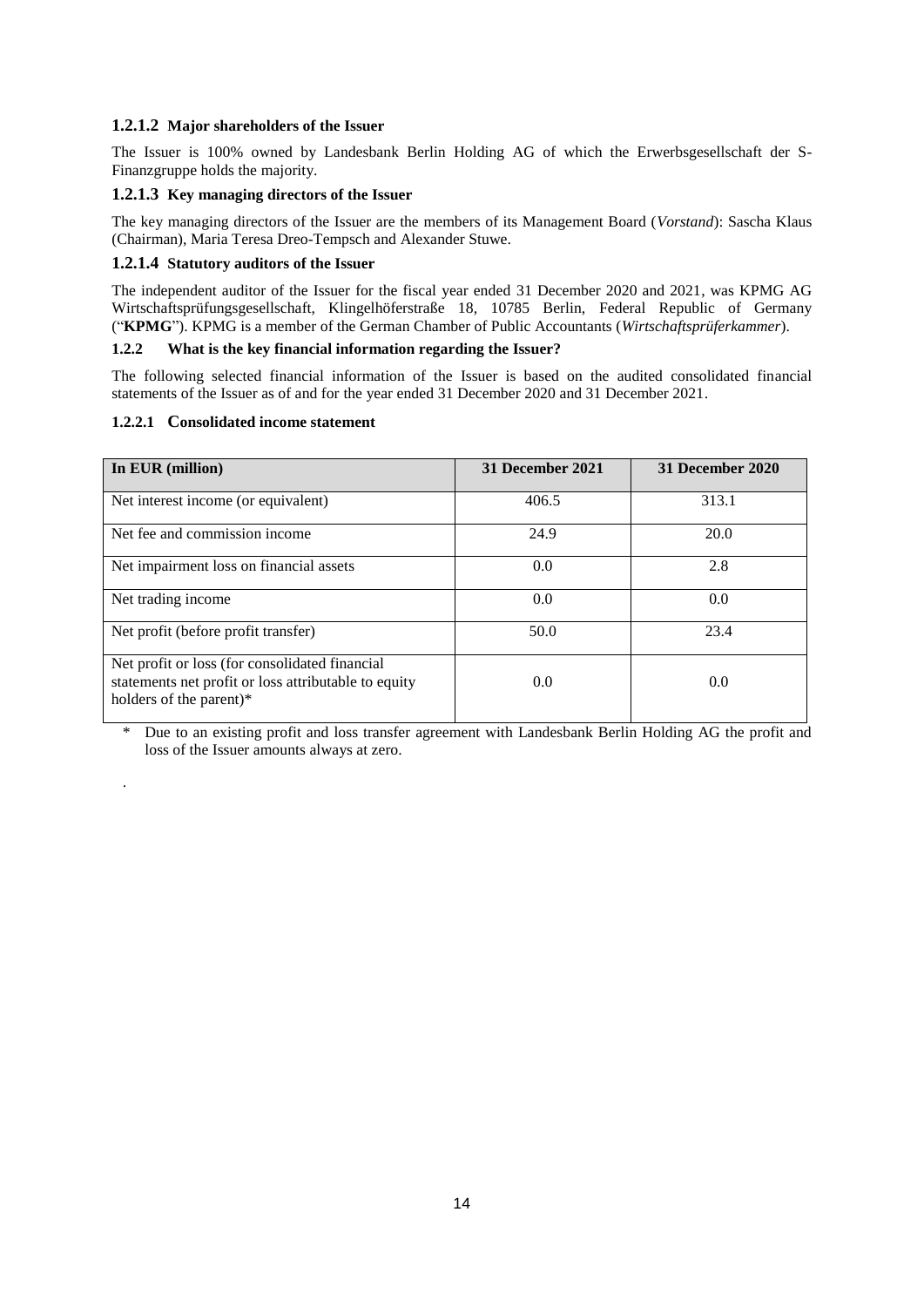## **1.2.1.2 Major shareholders of the Issuer**

The Issuer is 100% owned by Landesbank Berlin Holding AG of which the Erwerbsgesellschaft der S-Finanzgruppe holds the majority.

## **1.2.1.3 Key managing directors of the Issuer**

The key managing directors of the Issuer are the members of its Management Board (*Vorstand*): Sascha Klaus (Chairman), Maria Teresa Dreo-Tempsch and Alexander Stuwe.

## **1.2.1.4 Statutory auditors of the Issuer**

The independent auditor of the Issuer for the fiscal year ended 31 December 2020 and 2021, was KPMG AG Wirtschaftsprüfungsgesellschaft, Klingelhöferstraße 18, 10785 Berlin, Federal Republic of Germany ("**KPMG**"). KPMG is a member of the German Chamber of Public Accountants (*Wirtschaftsprüferkammer*).

## **1.2.2 What is the key financial information regarding the Issuer?**

The following selected financial information of the Issuer is based on the audited consolidated financial statements of the Issuer as of and for the year ended 31 December 2020 and 31 December 2021.

## **1.2.2.1 Consolidated income statement**

.

| In EUR (million)                                                                                                                  | 31 December 2021 | 31 December 2020 |
|-----------------------------------------------------------------------------------------------------------------------------------|------------------|------------------|
| Net interest income (or equivalent)                                                                                               | 406.5            | 313.1            |
| Net fee and commission income                                                                                                     | 24.9             | 20.0             |
| Net impairment loss on financial assets                                                                                           | 0.0              | 2.8              |
| Net trading income.                                                                                                               | 0.0              | 0.0              |
| Net profit (before profit transfer)                                                                                               | 50.0             | 23.4             |
| Net profit or loss (for consolidated financial<br>statements net profit or loss attributable to equity<br>holders of the parent)* | 0.0              | 0.0              |

\* Due to an existing profit and loss transfer agreement with Landesbank Berlin Holding AG the profit and loss of the Issuer amounts always at zero.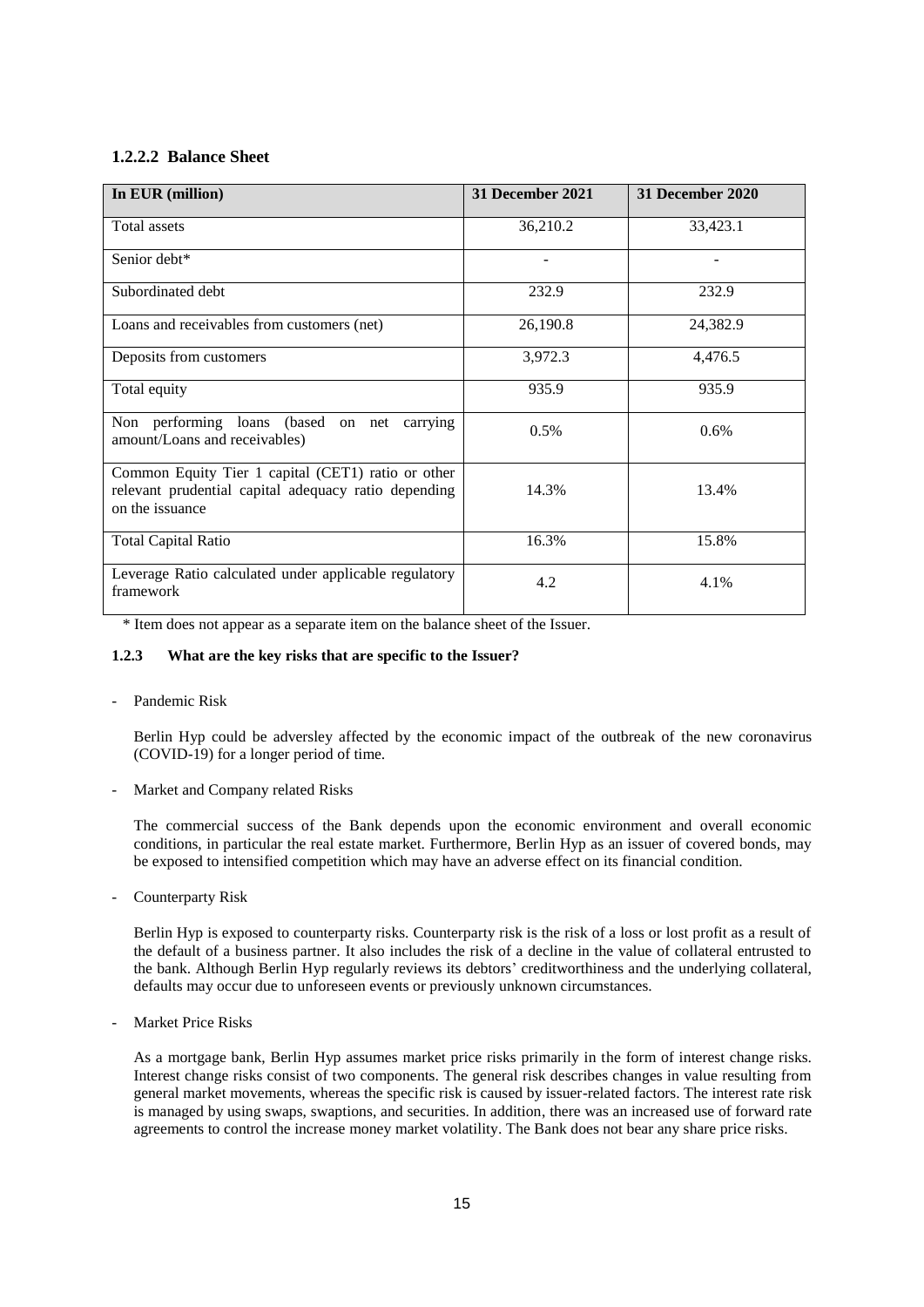## **1.2.2.2 Balance Sheet**

| In EUR (million)                                                                                                              | 31 December 2021 | 31 December 2020 |
|-------------------------------------------------------------------------------------------------------------------------------|------------------|------------------|
| Total assets                                                                                                                  | 36,210.2         | 33,423.1         |
| Senior debt*                                                                                                                  |                  |                  |
| Subordinated debt                                                                                                             | 232.9            | 232.9            |
| Loans and receivables from customers (net)                                                                                    | 26,190.8         | 24,382.9         |
| Deposits from customers                                                                                                       | 3,972.3          | 4,476.5          |
| Total equity                                                                                                                  | 935.9            | 935.9            |
| Non performing loans (based on net carrying<br>amount/Loans and receivables)                                                  | 0.5%             | 0.6%             |
| Common Equity Tier 1 capital (CET1) ratio or other<br>relevant prudential capital adequacy ratio depending<br>on the issuance | 14.3%            | 13.4%            |
| <b>Total Capital Ratio</b>                                                                                                    | 16.3%            | 15.8%            |
| Leverage Ratio calculated under applicable regulatory<br>framework                                                            | 4.2              | 4.1%             |

\* Item does not appear as a separate item on the balance sheet of the Issuer.

## **1.2.3 What are the key risks that are specific to the Issuer?**

#### - Pandemic Risk

Berlin Hyp could be adversley affected by the economic impact of the outbreak of the new coronavirus (COVID-19) for a longer period of time.

- Market and Company related Risks

The commercial success of the Bank depends upon the economic environment and overall economic conditions, in particular the real estate market. Furthermore, Berlin Hyp as an issuer of covered bonds, may be exposed to intensified competition which may have an adverse effect on its financial condition.

Counterparty Risk

Berlin Hyp is exposed to counterparty risks. Counterparty risk is the risk of a loss or lost profit as a result of the default of a business partner. It also includes the risk of a decline in the value of collateral entrusted to the bank. Although Berlin Hyp regularly reviews its debtors' creditworthiness and the underlying collateral, defaults may occur due to unforeseen events or previously unknown circumstances.

Market Price Risks

As a mortgage bank, Berlin Hyp assumes market price risks primarily in the form of interest change risks. Interest change risks consist of two components. The general risk describes changes in value resulting from general market movements, whereas the specific risk is caused by issuer-related factors. The interest rate risk is managed by using swaps, swaptions, and securities. In addition, there was an increased use of forward rate agreements to control the increase money market volatility. The Bank does not bear any share price risks.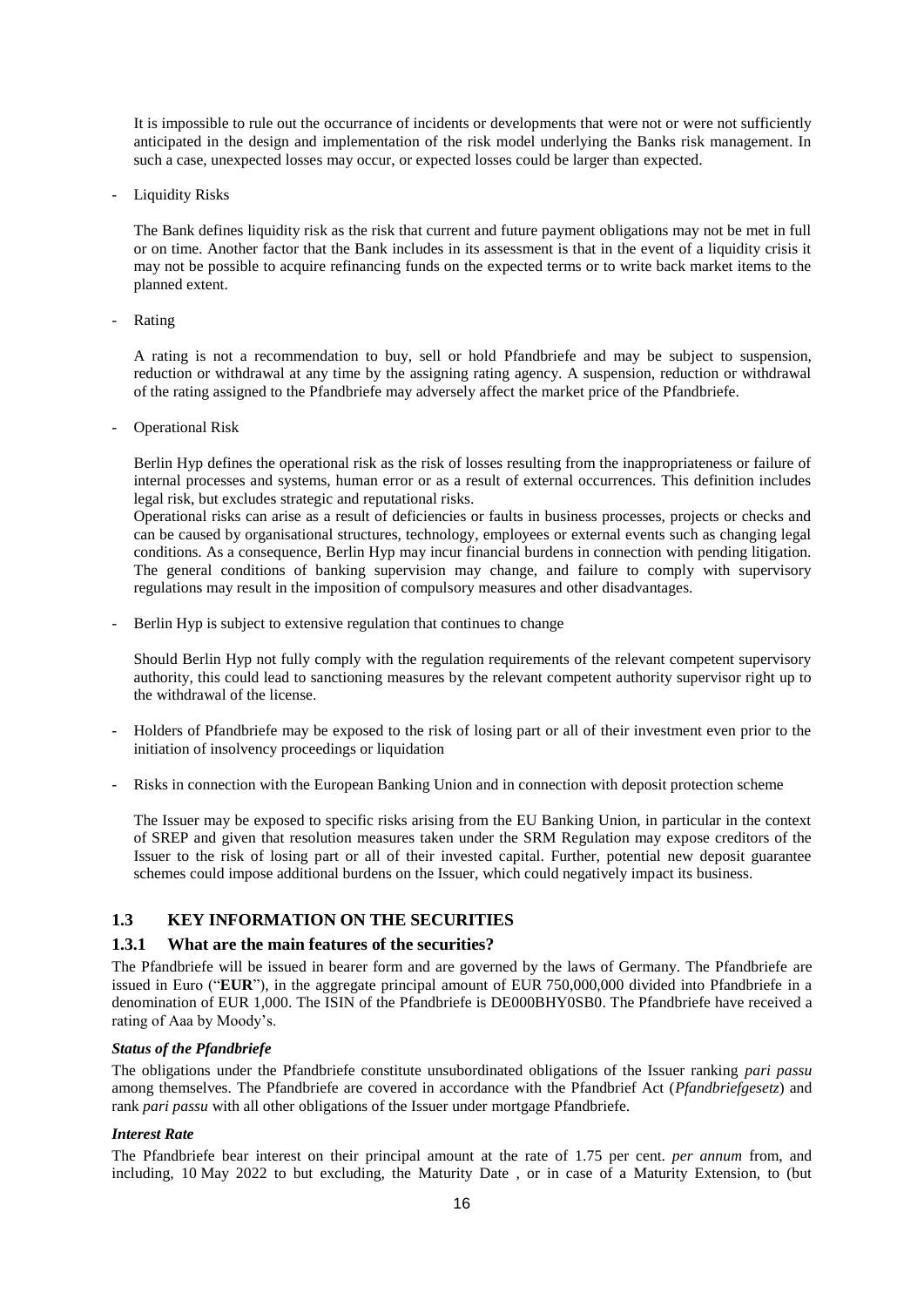It is impossible to rule out the occurrance of incidents or developments that were not or were not sufficiently anticipated in the design and implementation of the risk model underlying the Banks risk management. In such a case, unexpected losses may occur, or expected losses could be larger than expected.

Liquidity Risks

The Bank defines liquidity risk as the risk that current and future payment obligations may not be met in full or on time. Another factor that the Bank includes in its assessment is that in the event of a liquidity crisis it may not be possible to acquire refinancing funds on the expected terms or to write back market items to the planned extent.

- Rating

A rating is not a recommendation to buy, sell or hold Pfandbriefe and may be subject to suspension, reduction or withdrawal at any time by the assigning rating agency. A suspension, reduction or withdrawal of the rating assigned to the Pfandbriefe may adversely affect the market price of the Pfandbriefe.

Operational Risk

Berlin Hyp defines the operational risk as the risk of losses resulting from the inappropriateness or failure of internal processes and systems, human error or as a result of external occurrences. This definition includes legal risk, but excludes strategic and reputational risks.

Operational risks can arise as a result of deficiencies or faults in business processes, projects or checks and can be caused by organisational structures, technology, employees or external events such as changing legal conditions. As a consequence, Berlin Hyp may incur financial burdens in connection with pending litigation. The general conditions of banking supervision may change, and failure to comply with supervisory regulations may result in the imposition of compulsory measures and other disadvantages.

Berlin Hyp is subject to extensive regulation that continues to change

Should Berlin Hyp not fully comply with the regulation requirements of the relevant competent supervisory authority, this could lead to sanctioning measures by the relevant competent authority supervisor right up to the withdrawal of the license.

- Holders of Pfandbriefe may be exposed to the risk of losing part or all of their investment even prior to the initiation of insolvency proceedings or liquidation
- Risks in connection with the European Banking Union and in connection with deposit protection scheme

The Issuer may be exposed to specific risks arising from the EU Banking Union, in particular in the context of SREP and given that resolution measures taken under the SRM Regulation may expose creditors of the Issuer to the risk of losing part or all of their invested capital. Further, potential new deposit guarantee schemes could impose additional burdens on the Issuer, which could negatively impact its business.

## **1.3 KEY INFORMATION ON THE SECURITIES**

## **1.3.1 What are the main features of the securities?**

The Pfandbriefe will be issued in bearer form and are governed by the laws of Germany. The Pfandbriefe are issued in Euro ("**EUR**"), in the aggregate principal amount of EUR 750,000,000 divided into Pfandbriefe in a denomination of EUR 1,000. The ISIN of the Pfandbriefe is DE000BHY0SB0. The Pfandbriefe have received a rating of Aaa by Moody's.

## *Status of the Pfandbriefe*

The obligations under the Pfandbriefe constitute unsubordinated obligations of the Issuer ranking *pari passu* among themselves. The Pfandbriefe are covered in accordance with the Pfandbrief Act (*Pfandbriefgesetz*) and rank *pari passu* with all other obligations of the Issuer under mortgage Pfandbriefe.

## *Interest Rate*

The Pfandbriefe bear interest on their principal amount at the rate of 1.75 per cent. *per annum* from, and including, 10 May 2022 to but excluding, the Maturity Date , or in case of a Maturity Extension, to (but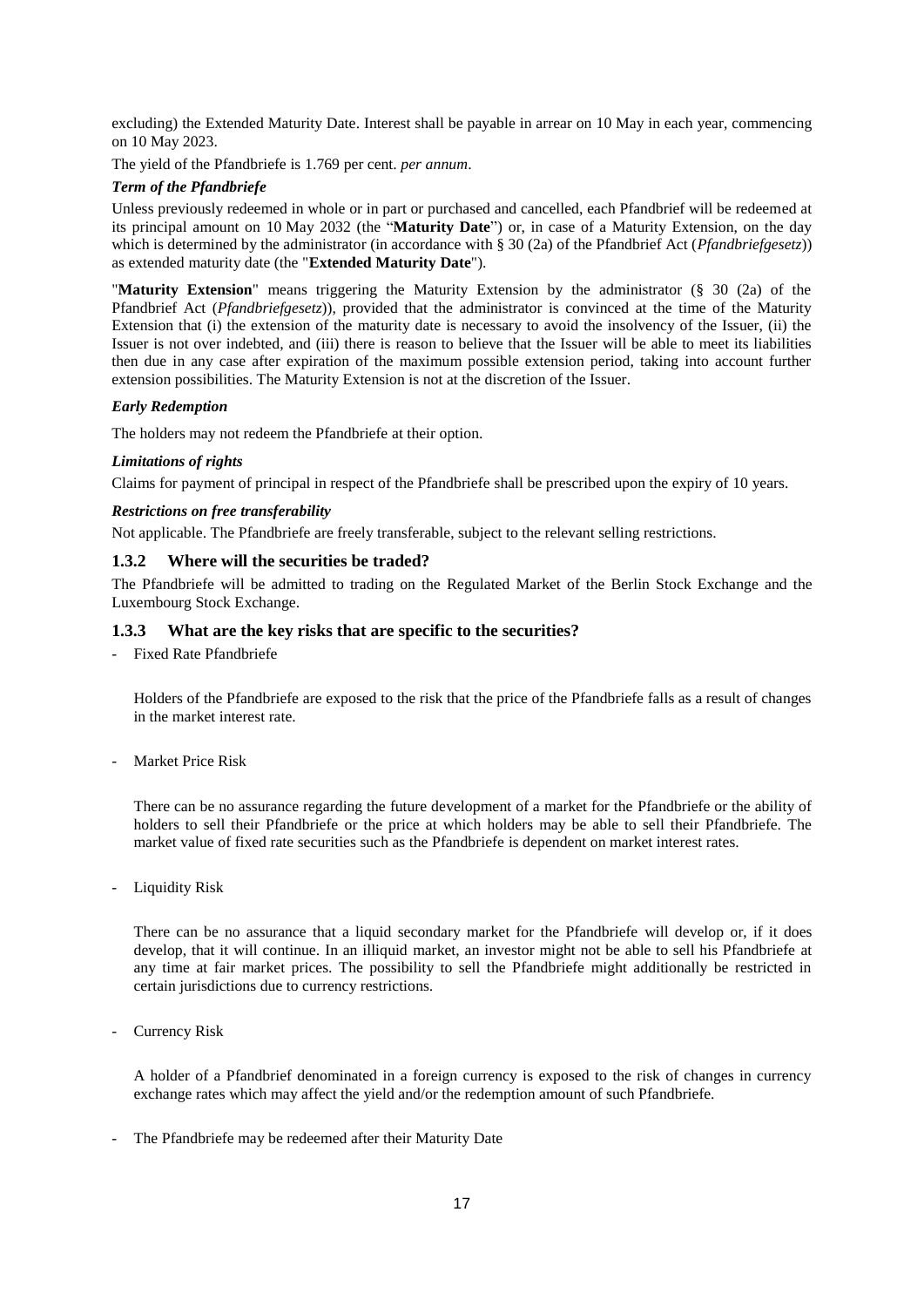excluding) the Extended Maturity Date. Interest shall be payable in arrear on 10 May in each year, commencing on 10 May 2023.

The yield of the Pfandbriefe is 1.769 per cent. *per annum*.

#### *Term of the Pfandbriefe*

Unless previously redeemed in whole or in part or purchased and cancelled, each Pfandbrief will be redeemed at its principal amount on 10 May 2032 (the "**Maturity Date**") or, in case of a Maturity Extension, on the day which is determined by the administrator (in accordance with § 30 (2a) of the Pfandbrief Act (*Pfandbriefgesetz*)) as extended maturity date (the "**Extended Maturity Date**").

"**Maturity Extension**" means triggering the Maturity Extension by the administrator (§ 30 (2a) of the Pfandbrief Act (*Pfandbriefgesetz*)), provided that the administrator is convinced at the time of the Maturity Extension that (i) the extension of the maturity date is necessary to avoid the insolvency of the Issuer, (ii) the Issuer is not over indebted, and (iii) there is reason to believe that the Issuer will be able to meet its liabilities then due in any case after expiration of the maximum possible extension period, taking into account further extension possibilities. The Maturity Extension is not at the discretion of the Issuer.

#### *Early Redemption*

The holders may not redeem the Pfandbriefe at their option.

#### *Limitations of rights*

Claims for payment of principal in respect of the Pfandbriefe shall be prescribed upon the expiry of 10 years.

#### *Restrictions on free transferability*

Not applicable. The Pfandbriefe are freely transferable, subject to the relevant selling restrictions.

#### **1.3.2 Where will the securities be traded?**

The Pfandbriefe will be admitted to trading on the Regulated Market of the Berlin Stock Exchange and the Luxembourg Stock Exchange.

#### **1.3.3 What are the key risks that are specific to the securities?**

- Fixed Rate Pfandbriefe

Holders of the Pfandbriefe are exposed to the risk that the price of the Pfandbriefe falls as a result of changes in the market interest rate.

Market Price Risk

There can be no assurance regarding the future development of a market for the Pfandbriefe or the ability of holders to sell their Pfandbriefe or the price at which holders may be able to sell their Pfandbriefe. The market value of fixed rate securities such as the Pfandbriefe is dependent on market interest rates.

- Liquidity Risk

There can be no assurance that a liquid secondary market for the Pfandbriefe will develop or, if it does develop, that it will continue. In an illiquid market, an investor might not be able to sell his Pfandbriefe at any time at fair market prices. The possibility to sell the Pfandbriefe might additionally be restricted in certain jurisdictions due to currency restrictions.

- Currency Risk

A holder of a Pfandbrief denominated in a foreign currency is exposed to the risk of changes in currency exchange rates which may affect the yield and/or the redemption amount of such Pfandbriefe.

- The Pfandbriefe may be redeemed after their Maturity Date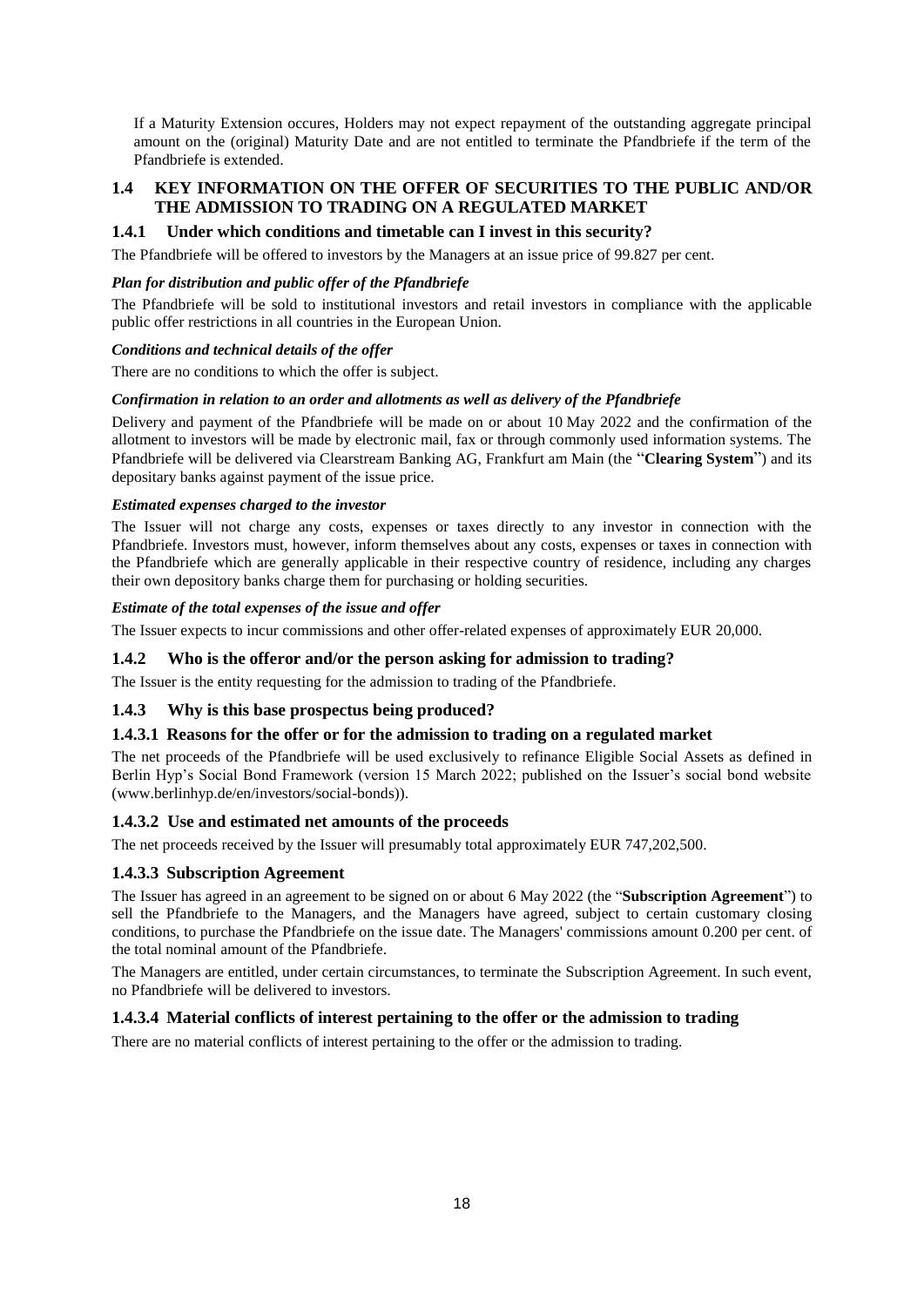If a Maturity Extension occures, Holders may not expect repayment of the outstanding aggregate principal amount on the (original) Maturity Date and are not entitled to terminate the Pfandbriefe if the term of the Pfandbriefe is extended.

## **1.4 KEY INFORMATION ON THE OFFER OF SECURITIES TO THE PUBLIC AND/OR THE ADMISSION TO TRADING ON A REGULATED MARKET**

## **1.4.1 Under which conditions and timetable can I invest in this security?**

The Pfandbriefe will be offered to investors by the Managers at an issue price of 99.827 per cent.

#### *Plan for distribution and public offer of the Pfandbriefe*

The Pfandbriefe will be sold to institutional investors and retail investors in compliance with the applicable public offer restrictions in all countries in the European Union.

#### *Conditions and technical details of the offer*

There are no conditions to which the offer is subject.

#### *Confirmation in relation to an order and allotments as well as delivery of the Pfandbriefe*

Delivery and payment of the Pfandbriefe will be made on or about 10 May 2022 and the confirmation of the allotment to investors will be made by electronic mail, fax or through commonly used information systems. The Pfandbriefe will be delivered via Clearstream Banking AG, Frankfurt am Main (the "**Clearing System**") and its depositary banks against payment of the issue price.

#### *Estimated expenses charged to the investor*

The Issuer will not charge any costs, expenses or taxes directly to any investor in connection with the Pfandbriefe. Investors must, however, inform themselves about any costs, expenses or taxes in connection with the Pfandbriefe which are generally applicable in their respective country of residence, including any charges their own depository banks charge them for purchasing or holding securities.

#### *Estimate of the total expenses of the issue and offer*

The Issuer expects to incur commissions and other offer-related expenses of approximately EUR 20,000.

## **1.4.2 Who is the offeror and/or the person asking for admission to trading?**

The Issuer is the entity requesting for the admission to trading of the Pfandbriefe.

## **1.4.3 Why is this base prospectus being produced?**

## **1.4.3.1 Reasons for the offer or for the admission to trading on a regulated market**

The net proceeds of the Pfandbriefe will be used exclusively to refinance Eligible Social Assets as defined in Berlin Hyp's Social Bond Framework (version 15 March 2022; published on the Issuer's social bond website (www.berlinhyp.de/en/investors/social-bonds)).

## **1.4.3.2 Use and estimated net amounts of the proceeds**

The net proceeds received by the Issuer will presumably total approximately EUR 747,202,500.

## **1.4.3.3 Subscription Agreement**

The Issuer has agreed in an agreement to be signed on or about 6 May 2022 (the "**Subscription Agreement**") to sell the Pfandbriefe to the Managers, and the Managers have agreed, subject to certain customary closing conditions, to purchase the Pfandbriefe on the issue date. The Managers' commissions amount 0.200 per cent. of the total nominal amount of the Pfandbriefe.

The Managers are entitled, under certain circumstances, to terminate the Subscription Agreement. In such event, no Pfandbriefe will be delivered to investors.

## **1.4.3.4 Material conflicts of interest pertaining to the offer or the admission to trading**

There are no material conflicts of interest pertaining to the offer or the admission to trading.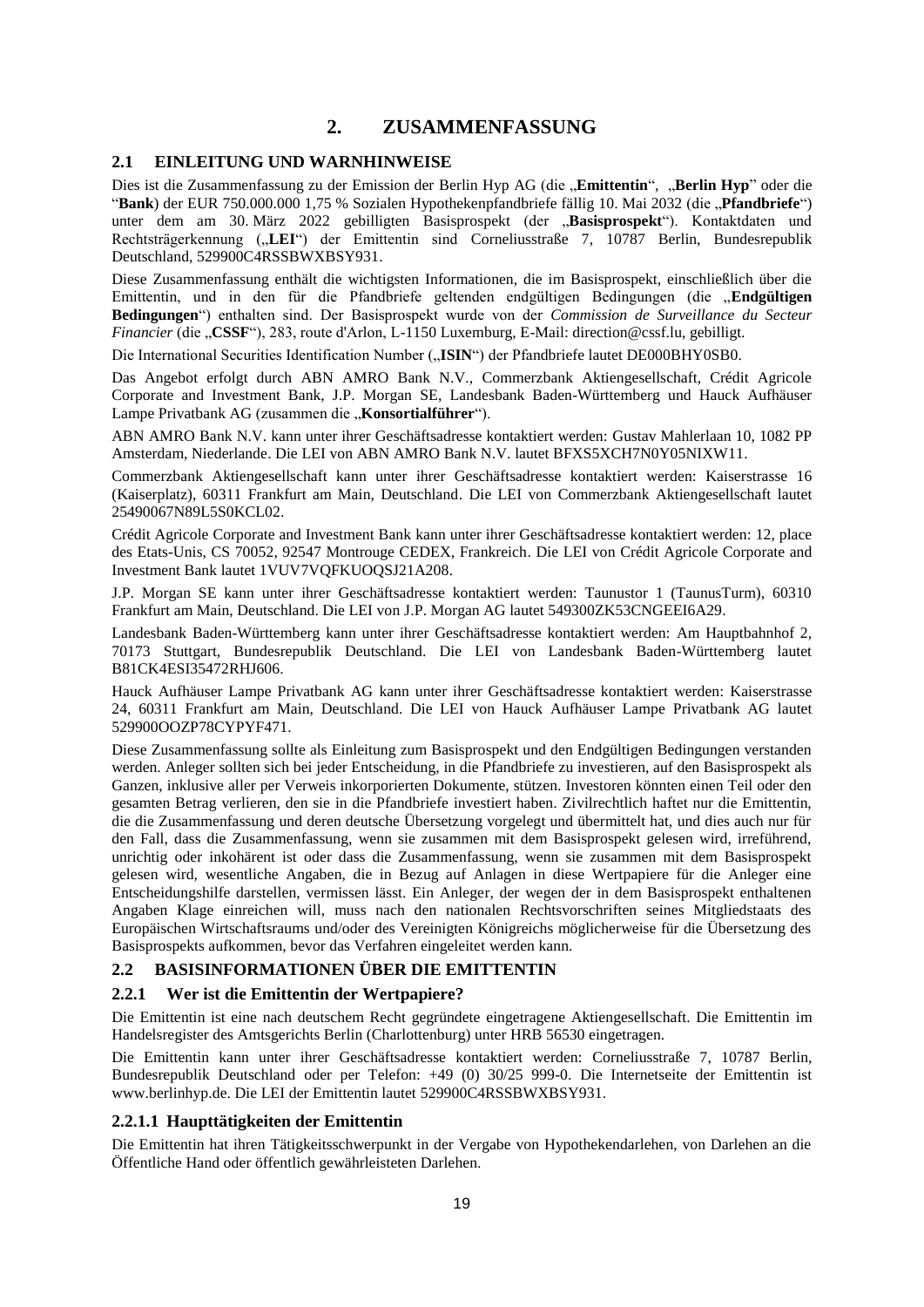# **2. ZUSAMMENFASSUNG**

## **2.1 EINLEITUNG UND WARNHINWEISE**

Dies ist die Zusammenfassung zu der Emission der Berlin Hyp AG (die "Emittentin", "Berlin Hyp" oder die "Bank) der EUR 750.000.000 1,75 % Sozialen Hypothekenpfandbriefe fällig 10. Mai 2032 (die "Pfandbriefe") unter dem am 30. März 2022 gebilligten Basisprospekt (der "Basisprospekt"). Kontaktdaten und Rechtsträgerkennung ("LEI") der Emittentin sind Corneliusstraße 7, 10787 Berlin, Bundesrepublik Deutschland, 529900C4RSSBWXBSY931.

Diese Zusammenfassung enthält die wichtigsten Informationen, die im Basisprospekt, einschließlich über die Emittentin, und in den für die Pfandbriefe geltenden endgültigen Bedingungen (die "**Endgültigen Bedingungen**") enthalten sind. Der Basisprospekt wurde von der *Commission de Surveillance du Secteur Financier* (die "**CSSF**"), 283, route d'Arlon, L-1150 Luxemburg, E-Mail: direction@cssf.lu, gebilligt.

Die International Securities Identification Number ("ISIN") der Pfandbriefe lautet DE000BHY0SB0.

Das Angebot erfolgt durch ABN AMRO Bank N.V., Commerzbank Aktiengesellschaft, Crédit Agricole Corporate and Investment Bank, J.P. Morgan SE, Landesbank Baden-Württemberg und Hauck Aufhäuser Lampe Privatbank AG (zusammen die "Konsortialführer").

ABN AMRO Bank N.V. kann unter ihrer Geschäftsadresse kontaktiert werden: Gustav Mahlerlaan 10, 1082 PP Amsterdam, Niederlande. Die LEI von ABN AMRO Bank N.V. lautet BFXS5XCH7N0Y05NIXW11.

Commerzbank Aktiengesellschaft kann unter ihrer Geschäftsadresse kontaktiert werden: Kaiserstrasse 16 (Kaiserplatz), 60311 Frankfurt am Main, Deutschland. Die LEI von Commerzbank Aktiengesellschaft lautet 25490067N89L5S0KCL02.

Crédit Agricole Corporate and Investment Bank kann unter ihrer Geschäftsadresse kontaktiert werden: 12, place des Etats-Unis, CS 70052, 92547 Montrouge CEDEX, Frankreich. Die LEI von Crédit Agricole Corporate and Investment Bank lautet 1VUV7VQFKUOQSJ21A208.

J.P. Morgan SE kann unter ihrer Geschäftsadresse kontaktiert werden: Taunustor 1 (TaunusTurm), 60310 Frankfurt am Main, Deutschland. Die LEI von J.P. Morgan AG lautet 549300ZK53CNGEEI6A29.

Landesbank Baden-Württemberg kann unter ihrer Geschäftsadresse kontaktiert werden: Am Hauptbahnhof 2, 70173 Stuttgart, Bundesrepublik Deutschland. Die LEI von Landesbank Baden-Württemberg lautet B81CK4ESI35472RHJ606.

Hauck Aufhäuser Lampe Privatbank AG kann unter ihrer Geschäftsadresse kontaktiert werden: Kaiserstrasse 24, 60311 Frankfurt am Main, Deutschland. Die LEI von Hauck Aufhäuser Lampe Privatbank AG lautet 529900OOZP78CYPYF471.

Diese Zusammenfassung sollte als Einleitung zum Basisprospekt und den Endgültigen Bedingungen verstanden werden. Anleger sollten sich bei jeder Entscheidung, in die Pfandbriefe zu investieren, auf den Basisprospekt als Ganzen, inklusive aller per Verweis inkorporierten Dokumente, stützen. Investoren könnten einen Teil oder den gesamten Betrag verlieren, den sie in die Pfandbriefe investiert haben. Zivilrechtlich haftet nur die Emittentin, die die Zusammenfassung und deren deutsche Übersetzung vorgelegt und übermittelt hat, und dies auch nur für den Fall, dass die Zusammenfassung, wenn sie zusammen mit dem Basisprospekt gelesen wird, irreführend, unrichtig oder inkohärent ist oder dass die Zusammenfassung, wenn sie zusammen mit dem Basisprospekt gelesen wird, wesentliche Angaben, die in Bezug auf Anlagen in diese Wertpapiere für die Anleger eine Entscheidungshilfe darstellen, vermissen lässt. Ein Anleger, der wegen der in dem Basisprospekt enthaltenen Angaben Klage einreichen will, muss nach den nationalen Rechtsvorschriften seines Mitgliedstaats des Europäischen Wirtschaftsraums und/oder des Vereinigten Königreichs möglicherweise für die Übersetzung des Basisprospekts aufkommen, bevor das Verfahren eingeleitet werden kann.

## **2.2 BASISINFORMATIONEN ÜBER DIE EMITTENTIN**

## **2.2.1 Wer ist die Emittentin der Wertpapiere?**

Die Emittentin ist eine nach deutschem Recht gegründete eingetragene Aktiengesellschaft. Die Emittentin im Handelsregister des Amtsgerichts Berlin (Charlottenburg) unter HRB 56530 eingetragen.

Die Emittentin kann unter ihrer Geschäftsadresse kontaktiert werden: Corneliusstraße 7, 10787 Berlin, Bundesrepublik Deutschland oder per Telefon: +49 (0) 30/25 999-0. Die Internetseite der Emittentin ist www.berlinhyp.de. Die LEI der Emittentin lautet 529900C4RSSBWXBSY931.

## **2.2.1.1 Haupttätigkeiten der Emittentin**

Die Emittentin hat ihren Tätigkeitsschwerpunkt in der Vergabe von Hypothekendarlehen, von Darlehen an die Öffentliche Hand oder öffentlich gewährleisteten Darlehen.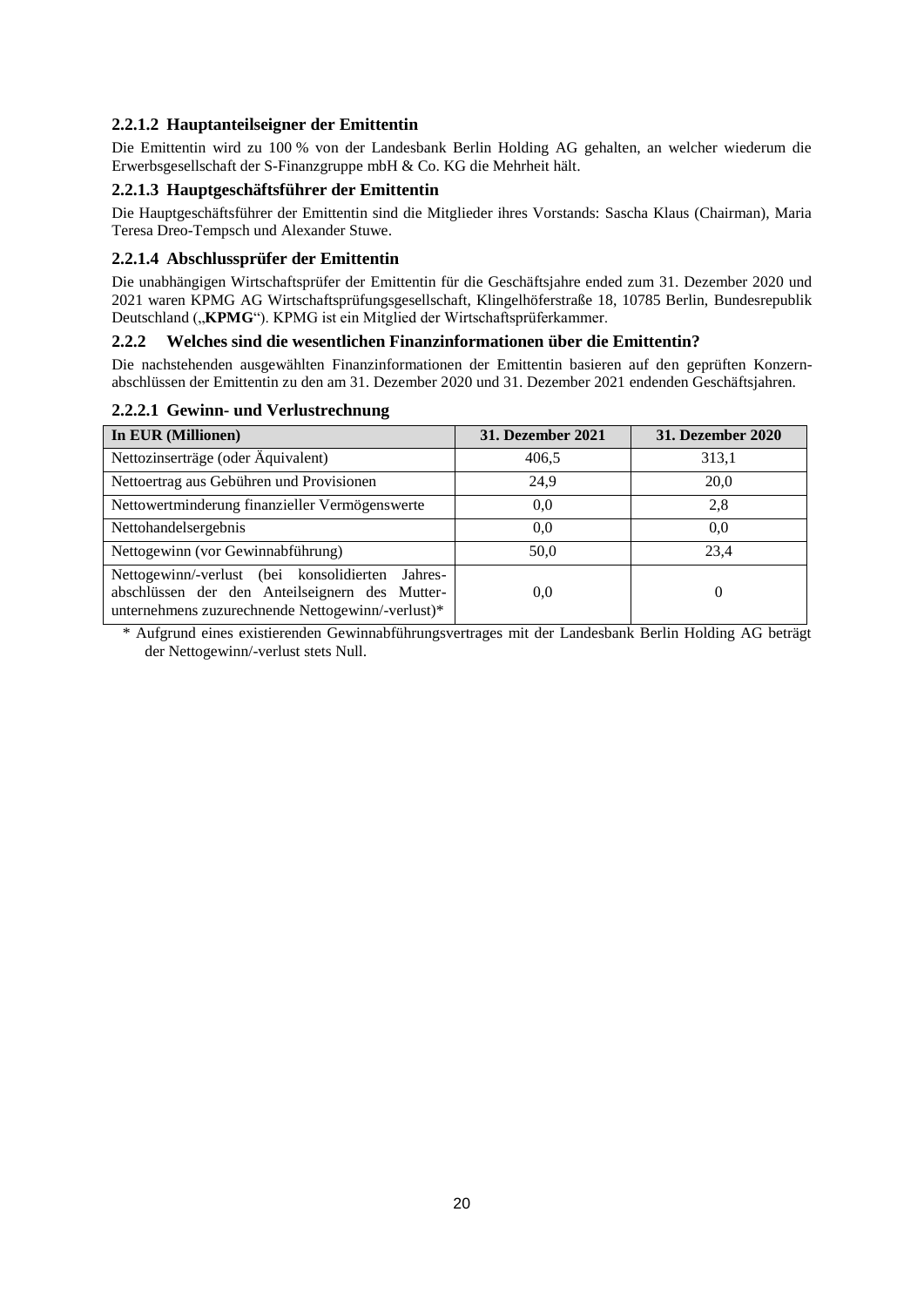## **2.2.1.2 Hauptanteilseigner der Emittentin**

Die Emittentin wird zu 100 % von der Landesbank Berlin Holding AG gehalten, an welcher wiederum die Erwerbsgesellschaft der S-Finanzgruppe mbH & Co. KG die Mehrheit hält.

## **2.2.1.3 Hauptgeschäftsführer der Emittentin**

Die Hauptgeschäftsführer der Emittentin sind die Mitglieder ihres Vorstands: Sascha Klaus (Chairman), Maria Teresa Dreo-Tempsch und Alexander Stuwe.

## **2.2.1.4 Abschlussprüfer der Emittentin**

Die unabhängigen Wirtschaftsprüfer der Emittentin für die Geschäftsjahre ended zum 31. Dezember 2020 und 2021 waren KPMG AG Wirtschaftsprüfungsgesellschaft, Klingelhöferstraße 18, 10785 Berlin, Bundesrepublik Deutschland ("**KPMG**"). KPMG ist ein Mitglied der Wirtschaftsprüferkammer.

## **2.2.2 Welches sind die wesentlichen Finanzinformationen über die Emittentin?**

Die nachstehenden ausgewählten Finanzinformationen der Emittentin basieren auf den geprüften Konzernabschlüssen der Emittentin zu den am 31. Dezember 2020 und 31. Dezember 2021 endenden Geschäftsjahren.

## **2.2.2.1 Gewinn- und Verlustrechnung**

| In EUR (Millionen)                                                                                                                                      | <b>31. Dezember 2021</b> | <b>31. Dezember 2020</b> |
|---------------------------------------------------------------------------------------------------------------------------------------------------------|--------------------------|--------------------------|
| Nettozinserträge (oder Äquivalent)                                                                                                                      | 406,5                    | 313,1                    |
| Nettoertrag aus Gebühren und Provisionen                                                                                                                | 24.9                     | 20,0                     |
| Nettowertminderung finanzieller Vermögenswerte                                                                                                          | 0.0                      | 2,8                      |
| Nettohandelsergebnis                                                                                                                                    | 0.0                      | 0.0                      |
| Nettogewinn (vor Gewinnabführung)                                                                                                                       | 50,0                     | 23.4                     |
| Nettogewinn/-verlust (bei konsolidierten Jahres-<br>abschlüssen der den Anteilseignern des Mutter-<br>unternehmens zuzurechnende Nettogewinn/-verlust)* | 0,0                      |                          |

\* Aufgrund eines existierenden Gewinnabführungsvertrages mit der Landesbank Berlin Holding AG beträgt der Nettogewinn/-verlust stets Null.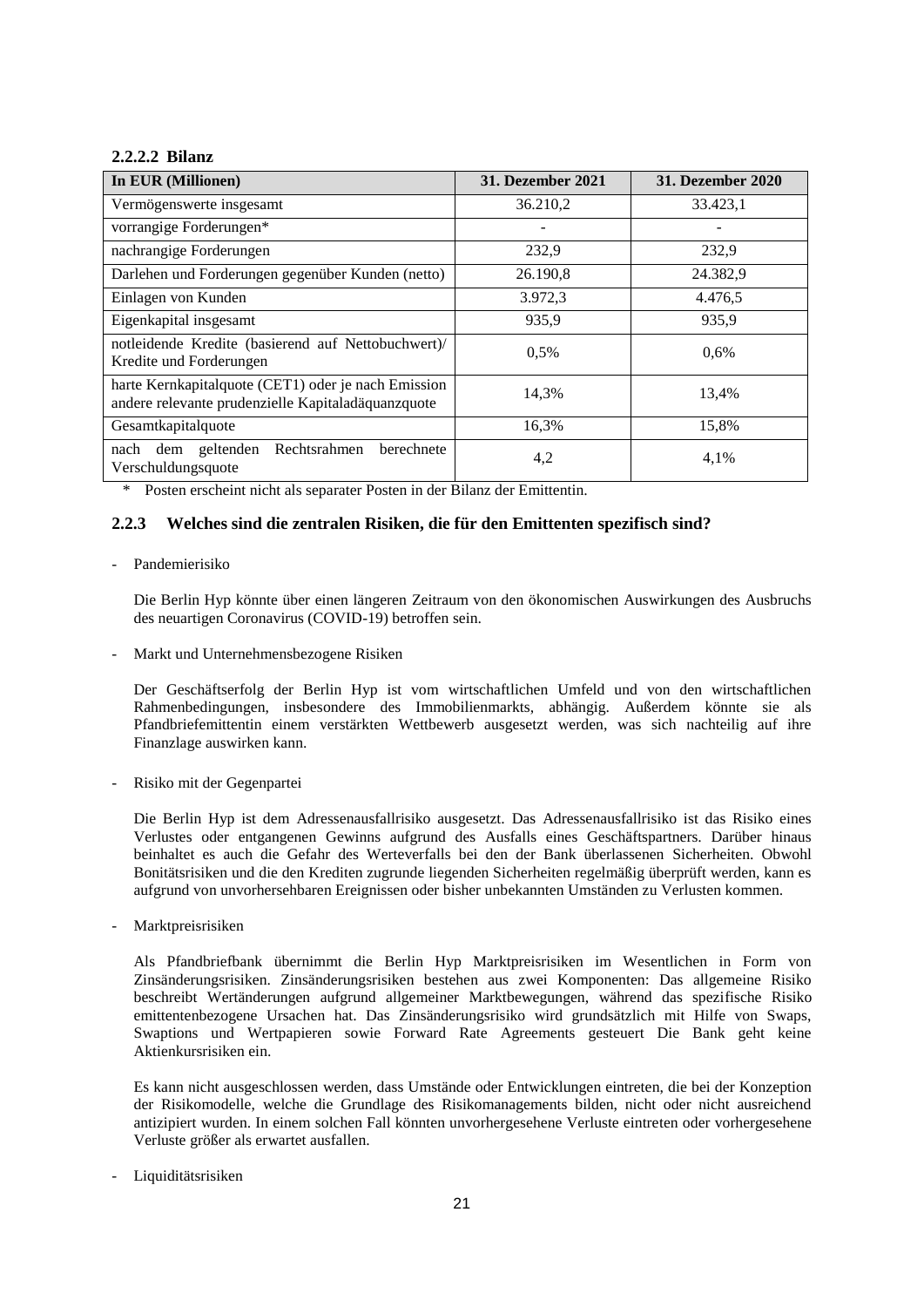## **2.2.2.2 Bilanz**

| In EUR (Millionen)                                                                                        | <b>31. Dezember 2021</b> | <b>31. Dezember 2020</b> |
|-----------------------------------------------------------------------------------------------------------|--------------------------|--------------------------|
| Vermögenswerte insgesamt                                                                                  | 36.210,2                 | 33.423,1                 |
| vorrangige Forderungen*                                                                                   |                          |                          |
| nachrangige Forderungen                                                                                   | 232,9                    | 232,9                    |
| Darlehen und Forderungen gegenüber Kunden (netto)                                                         | 26.190,8                 | 24.382,9                 |
| Einlagen von Kunden                                                                                       | 3.972,3                  | 4.476,5                  |
| Eigenkapital insgesamt                                                                                    | 935,9                    | 935,9                    |
| notleidende Kredite (basierend auf Nettobuchwert)/<br>Kredite und Forderungen                             | 0,5%                     | 0.6%                     |
| harte Kernkapitalquote (CET1) oder je nach Emission<br>andere relevante prudenzielle Kapitaladäquanzquote | 14,3%                    | 13,4%                    |
| Gesamtkapitalquote                                                                                        | 16,3%                    | 15,8%                    |
| Rechtsrahmen<br>dem geltenden<br>berechnete<br>nach<br>Verschuldungsquote                                 | 4,2                      | 4,1%                     |

\* Posten erscheint nicht als separater Posten in der Bilanz der Emittentin.

## **2.2.3 Welches sind die zentralen Risiken, die für den Emittenten spezifisch sind?**

## - Pandemierisiko

Die Berlin Hyp könnte über einen längeren Zeitraum von den ökonomischen Auswirkungen des Ausbruchs des neuartigen Coronavirus (COVID-19) betroffen sein.

- Markt und Unternehmensbezogene Risiken

Der Geschäftserfolg der Berlin Hyp ist vom wirtschaftlichen Umfeld und von den wirtschaftlichen Rahmenbedingungen, insbesondere des Immobilienmarkts, abhängig. Außerdem könnte sie als Pfandbriefemittentin einem verstärkten Wettbewerb ausgesetzt werden, was sich nachteilig auf ihre Finanzlage auswirken kann.

- Risiko mit der Gegenpartei

Die Berlin Hyp ist dem Adressenausfallrisiko ausgesetzt. Das Adressenausfallrisiko ist das Risiko eines Verlustes oder entgangenen Gewinns aufgrund des Ausfalls eines Geschäftspartners. Darüber hinaus beinhaltet es auch die Gefahr des Werteverfalls bei den der Bank überlassenen Sicherheiten. Obwohl Bonitätsrisiken und die den Krediten zugrunde liegenden Sicherheiten regelmäßig überprüft werden, kann es aufgrund von unvorhersehbaren Ereignissen oder bisher unbekannten Umständen zu Verlusten kommen.

- Marktpreisrisiken

Als Pfandbriefbank übernimmt die Berlin Hyp Marktpreisrisiken im Wesentlichen in Form von Zinsänderungsrisiken. Zinsänderungsrisiken bestehen aus zwei Komponenten: Das allgemeine Risiko beschreibt Wertänderungen aufgrund allgemeiner Marktbewegungen, während das spezifische Risiko emittentenbezogene Ursachen hat. Das Zinsänderungsrisiko wird grundsätzlich mit Hilfe von Swaps, Swaptions und Wertpapieren sowie Forward Rate Agreements gesteuert Die Bank geht keine Aktienkursrisiken ein.

Es kann nicht ausgeschlossen werden, dass Umstände oder Entwicklungen eintreten, die bei der Konzeption der Risikomodelle, welche die Grundlage des Risikomanagements bilden, nicht oder nicht ausreichend antizipiert wurden. In einem solchen Fall könnten unvorhergesehene Verluste eintreten oder vorhergesehene Verluste größer als erwartet ausfallen.

- Liquiditätsrisiken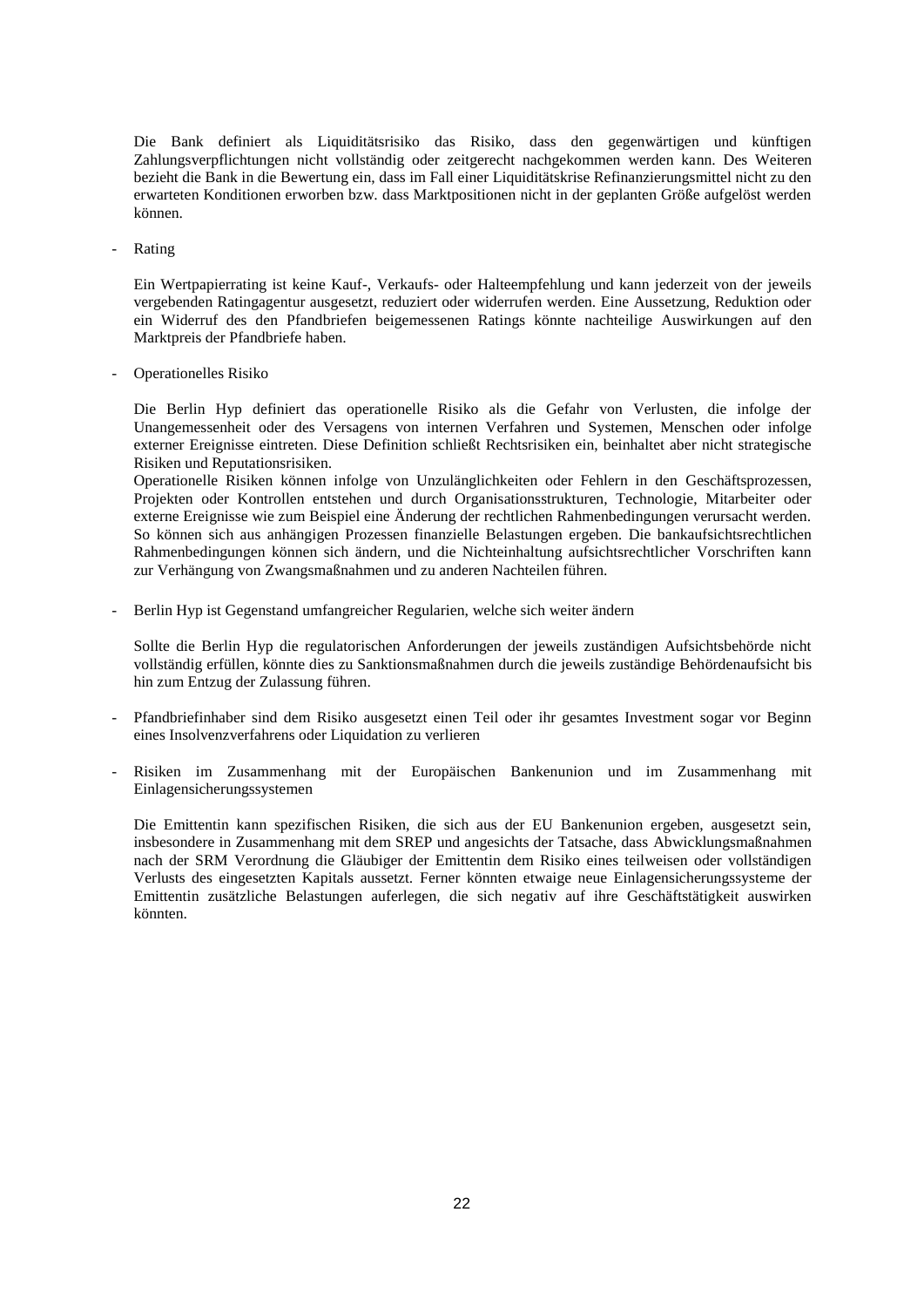Die Bank definiert als Liquiditätsrisiko das Risiko, dass den gegenwärtigen und künftigen Zahlungsverpflichtungen nicht vollständig oder zeitgerecht nachgekommen werden kann. Des Weiteren bezieht die Bank in die Bewertung ein, dass im Fall einer Liquiditätskrise Refinanzierungsmittel nicht zu den erwarteten Konditionen erworben bzw. dass Marktpositionen nicht in der geplanten Größe aufgelöst werden können.

- Rating

Ein Wertpapierrating ist keine Kauf-, Verkaufs- oder Halteempfehlung und kann jederzeit von der jeweils vergebenden Ratingagentur ausgesetzt, reduziert oder widerrufen werden. Eine Aussetzung, Reduktion oder ein Widerruf des den Pfandbriefen beigemessenen Ratings könnte nachteilige Auswirkungen auf den Marktpreis der Pfandbriefe haben.

- Operationelles Risiko

Die Berlin Hyp definiert das operationelle Risiko als die Gefahr von Verlusten, die infolge der Unangemessenheit oder des Versagens von internen Verfahren und Systemen, Menschen oder infolge externer Ereignisse eintreten. Diese Definition schließt Rechtsrisiken ein, beinhaltet aber nicht strategische Risiken und Reputationsrisiken.

Operationelle Risiken können infolge von Unzulänglichkeiten oder Fehlern in den Geschäftsprozessen, Projekten oder Kontrollen entstehen und durch Organisationsstrukturen, Technologie, Mitarbeiter oder externe Ereignisse wie zum Beispiel eine Änderung der rechtlichen Rahmenbedingungen verursacht werden. So können sich aus anhängigen Prozessen finanzielle Belastungen ergeben. Die bankaufsichtsrechtlichen Rahmenbedingungen können sich ändern, und die Nichteinhaltung aufsichtsrechtlicher Vorschriften kann zur Verhängung von Zwangsmaßnahmen und zu anderen Nachteilen führen.

- Berlin Hyp ist Gegenstand umfangreicher Regularien, welche sich weiter ändern

Sollte die Berlin Hyp die regulatorischen Anforderungen der jeweils zuständigen Aufsichtsbehörde nicht vollständig erfüllen, könnte dies zu Sanktionsmaßnahmen durch die jeweils zuständige Behördenaufsicht bis hin zum Entzug der Zulassung führen.

- Pfandbriefinhaber sind dem Risiko ausgesetzt einen Teil oder ihr gesamtes Investment sogar vor Beginn eines Insolvenzverfahrens oder Liquidation zu verlieren
- Risiken im Zusammenhang mit der Europäischen Bankenunion und im Zusammenhang mit Einlagensicherungssystemen

Die Emittentin kann spezifischen Risiken, die sich aus der EU Bankenunion ergeben, ausgesetzt sein, insbesondere in Zusammenhang mit dem SREP und angesichts der Tatsache, dass Abwicklungsmaßnahmen nach der SRM Verordnung die Gläubiger der Emittentin dem Risiko eines teilweisen oder vollständigen Verlusts des eingesetzten Kapitals aussetzt. Ferner könnten etwaige neue Einlagensicherungssysteme der Emittentin zusätzliche Belastungen auferlegen, die sich negativ auf ihre Geschäftstätigkeit auswirken könnten.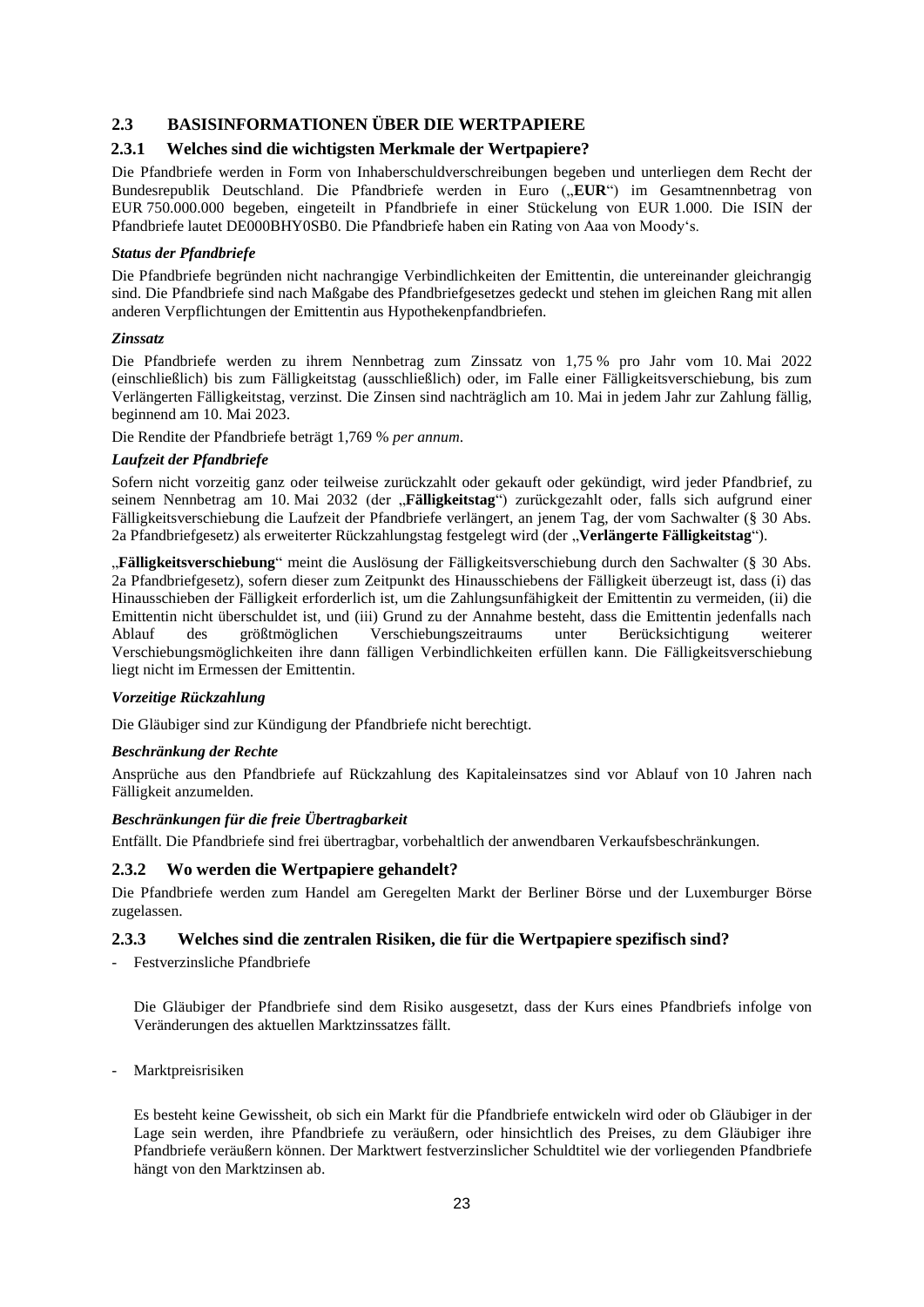## **2.3 BASISINFORMATIONEN ÜBER DIE WERTPAPIERE**

## **2.3.1 Welches sind die wichtigsten Merkmale der Wertpapiere?**

Die Pfandbriefe werden in Form von Inhaberschuldverschreibungen begeben und unterliegen dem Recht der Bundesrepublik Deutschland. Die Pfandbriefe werden in Euro ("EUR") im Gesamtnennbetrag von EUR 750.000.000 begeben, eingeteilt in Pfandbriefe in einer Stückelung von EUR 1.000. Die ISIN der Pfandbriefe lautet DE000BHY0SB0. Die Pfandbriefe haben ein Rating von Aaa von Moody's.

#### *Status der Pfandbriefe*

Die Pfandbriefe begründen nicht nachrangige Verbindlichkeiten der Emittentin, die untereinander gleichrangig sind. Die Pfandbriefe sind nach Maßgabe des Pfandbriefgesetzes gedeckt und stehen im gleichen Rang mit allen anderen Verpflichtungen der Emittentin aus Hypothekenpfandbriefen.

#### *Zinssatz*

Die Pfandbriefe werden zu ihrem Nennbetrag zum Zinssatz von 1,75 % pro Jahr vom 10. Mai 2022 (einschließlich) bis zum Fälligkeitstag (ausschließlich) oder, im Falle einer Fälligkeitsverschiebung, bis zum Verlängerten Fälligkeitstag, verzinst. Die Zinsen sind nachträglich am 10. Mai in jedem Jahr zur Zahlung fällig, beginnend am 10. Mai 2023.

Die Rendite der Pfandbriefe beträgt 1,769 % *per annum*.

#### *Laufzeit der Pfandbriefe*

Sofern nicht vorzeitig ganz oder teilweise zurückzahlt oder gekauft oder gekündigt, wird jeder Pfandbrief, zu seinem Nennbetrag am 10. Mai 2032 (der "Fälligkeitstag") zurückgezahlt oder, falls sich aufgrund einer Fälligkeitsverschiebung die Laufzeit der Pfandbriefe verlängert, an jenem Tag, der vom Sachwalter (§ 30 Abs. 2a Pfandbriefgesetz) als erweiterter Rückzahlungstag festgelegt wird (der "**Verlängerte Fälligkeitstag**").

"**Fälligkeitsverschiebung**" meint die Auslösung der Fälligkeitsverschiebung durch den Sachwalter (§ 30 Abs. 2a Pfandbriefgesetz), sofern dieser zum Zeitpunkt des Hinausschiebens der Fälligkeit überzeugt ist, dass (i) das Hinausschieben der Fälligkeit erforderlich ist, um die Zahlungsunfähigkeit der Emittentin zu vermeiden, (ii) die Emittentin nicht überschuldet ist, und (iii) Grund zu der Annahme besteht, dass die Emittentin jedenfalls nach Ablauf des größtmöglichen Verschiebungszeitraums unter Berücksichtigung weiterer Verschiebungsmöglichkeiten ihre dann fälligen Verbindlichkeiten erfüllen kann. Die Fälligkeitsverschiebung liegt nicht im Ermessen der Emittentin.

#### *Vorzeitige Rückzahlung*

Die Gläubiger sind zur Kündigung der Pfandbriefe nicht berechtigt.

### *Beschränkung der Rechte*

Ansprüche aus den Pfandbriefe auf Rückzahlung des Kapitaleinsatzes sind vor Ablauf von 10 Jahren nach Fälligkeit anzumelden.

## *Beschränkungen für die freie Übertragbarkeit*

Entfällt. Die Pfandbriefe sind frei übertragbar, vorbehaltlich der anwendbaren Verkaufsbeschränkungen.

## **2.3.2 Wo werden die Wertpapiere gehandelt?**

Die Pfandbriefe werden zum Handel am Geregelten Markt der Berliner Börse und der Luxemburger Börse zugelassen.

#### **2.3.3 Welches sind die zentralen Risiken, die für die Wertpapiere spezifisch sind?**

- Festverzinsliche Pfandbriefe

Die Gläubiger der Pfandbriefe sind dem Risiko ausgesetzt, dass der Kurs eines Pfandbriefs infolge von Veränderungen des aktuellen Marktzinssatzes fällt.

- Marktpreisrisiken

Es besteht keine Gewissheit, ob sich ein Markt für die Pfandbriefe entwickeln wird oder ob Gläubiger in der Lage sein werden, ihre Pfandbriefe zu veräußern, oder hinsichtlich des Preises, zu dem Gläubiger ihre Pfandbriefe veräußern können. Der Marktwert festverzinslicher Schuldtitel wie der vorliegenden Pfandbriefe hängt von den Marktzinsen ab.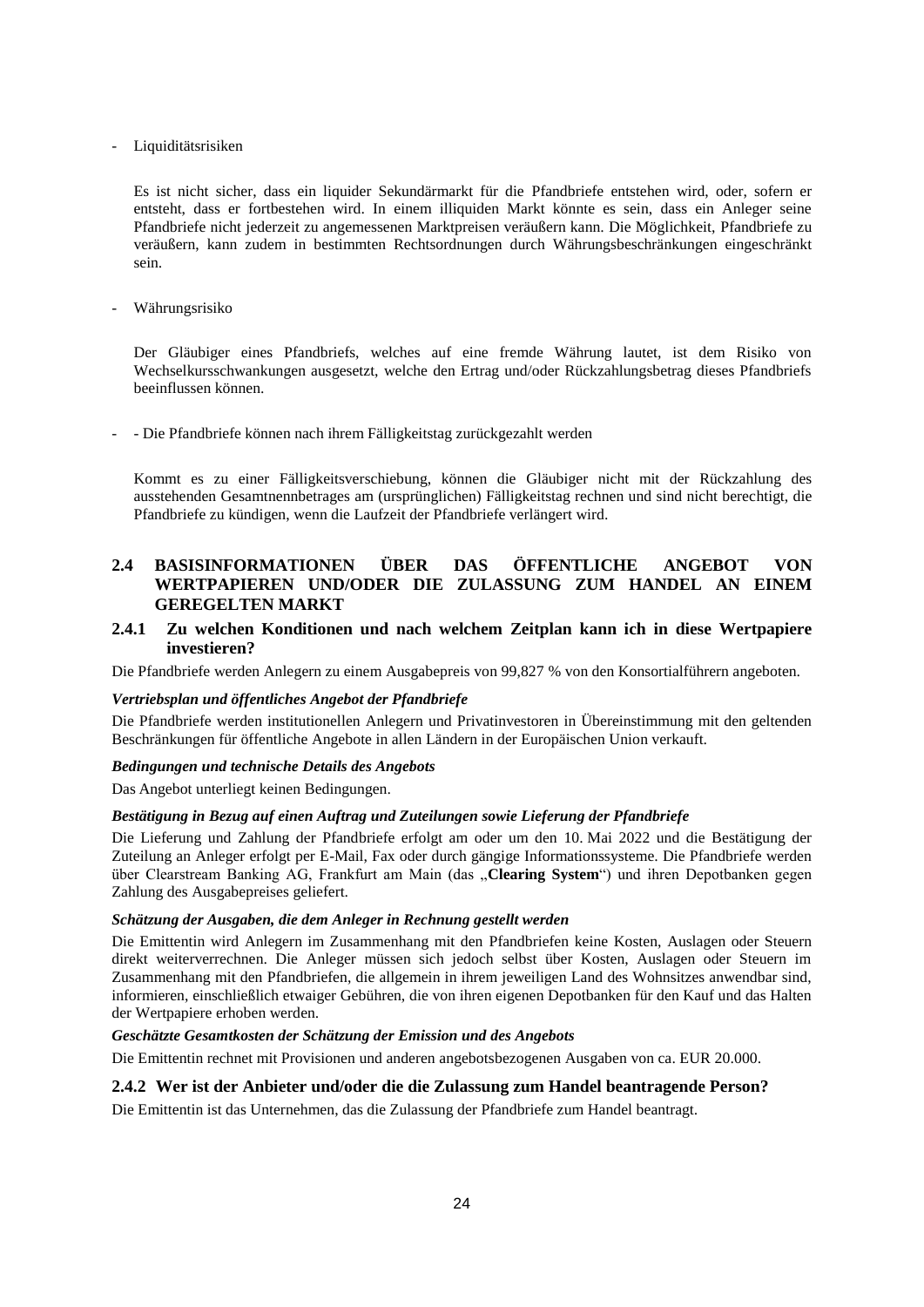#### Liquiditätsrisiken

Es ist nicht sicher, dass ein liquider Sekundärmarkt für die Pfandbriefe entstehen wird, oder, sofern er entsteht, dass er fortbestehen wird. In einem illiquiden Markt könnte es sein, dass ein Anleger seine Pfandbriefe nicht jederzeit zu angemessenen Marktpreisen veräußern kann. Die Möglichkeit, Pfandbriefe zu veräußern, kann zudem in bestimmten Rechtsordnungen durch Währungsbeschränkungen eingeschränkt sein.

#### - Währungsrisiko

Der Gläubiger eines Pfandbriefs, welches auf eine fremde Währung lautet, ist dem Risiko von Wechselkursschwankungen ausgesetzt, welche den Ertrag und/oder Rückzahlungsbetrag dieses Pfandbriefs beeinflussen können.

- Die Pfandbriefe können nach ihrem Fälligkeitstag zurückgezahlt werden

Kommt es zu einer Fälligkeitsverschiebung, können die Gläubiger nicht mit der Rückzahlung des ausstehenden Gesamtnennbetrages am (ursprünglichen) Fälligkeitstag rechnen und sind nicht berechtigt, die Pfandbriefe zu kündigen, wenn die Laufzeit der Pfandbriefe verlängert wird.

## **2.4 BASISINFORMATIONEN ÜBER DAS ÖFFENTLICHE ANGEBOT VON WERTPAPIEREN UND/ODER DIE ZULASSUNG ZUM HANDEL AN EINEM GEREGELTEN MARKT**

## **2.4.1 Zu welchen Konditionen und nach welchem Zeitplan kann ich in diese Wertpapiere investieren?**

Die Pfandbriefe werden Anlegern zu einem Ausgabepreis von 99,827 % von den Konsortialführern angeboten.

#### *Vertriebsplan und öffentliches Angebot der Pfandbriefe*

Die Pfandbriefe werden institutionellen Anlegern und Privatinvestoren in Übereinstimmung mit den geltenden Beschränkungen für öffentliche Angebote in allen Ländern in der Europäischen Union verkauft.

#### *Bedingungen und technische Details des Angebots*

Das Angebot unterliegt keinen Bedingungen.

#### *Bestätigung in Bezug auf einen Auftrag und Zuteilungen sowie Lieferung der Pfandbriefe*

Die Lieferung und Zahlung der Pfandbriefe erfolgt am oder um den 10. Mai 2022 und die Bestätigung der Zuteilung an Anleger erfolgt per E-Mail, Fax oder durch gängige Informationssysteme. Die Pfandbriefe werden über Clearstream Banking AG, Frankfurt am Main (das "**Clearing System**") und ihren Depotbanken gegen Zahlung des Ausgabepreises geliefert.

#### *Schätzung der Ausgaben, die dem Anleger in Rechnung gestellt werden*

Die Emittentin wird Anlegern im Zusammenhang mit den Pfandbriefen keine Kosten, Auslagen oder Steuern direkt weiterverrechnen. Die Anleger müssen sich jedoch selbst über Kosten, Auslagen oder Steuern im Zusammenhang mit den Pfandbriefen, die allgemein in ihrem jeweiligen Land des Wohnsitzes anwendbar sind, informieren, einschließlich etwaiger Gebühren, die von ihren eigenen Depotbanken für den Kauf und das Halten der Wertpapiere erhoben werden.

#### *Geschätzte Gesamtkosten der Schätzung der Emission und des Angebots*

Die Emittentin rechnet mit Provisionen und anderen angebotsbezogenen Ausgaben von ca. EUR 20.000.

### **2.4.2 Wer ist der Anbieter und/oder die die Zulassung zum Handel beantragende Person?**

Die Emittentin ist das Unternehmen, das die Zulassung der Pfandbriefe zum Handel beantragt.